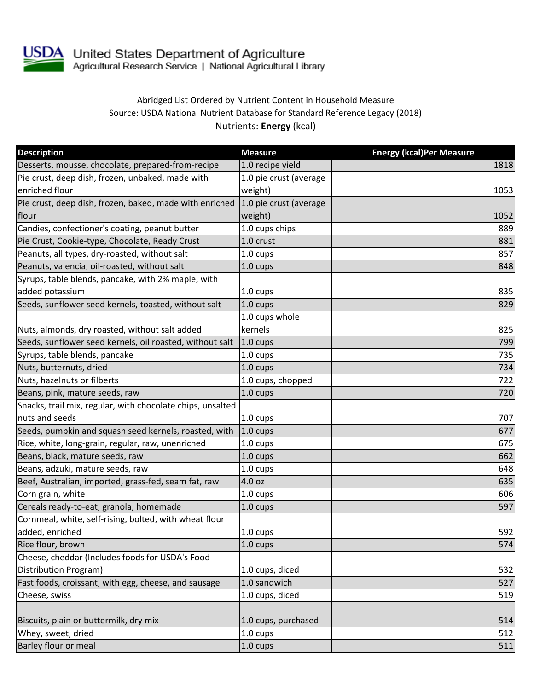

USDA United States Department of Agriculture<br>Agricultural Research Service | National Agricultural Library

## Abridged List Ordered by Nutrient Content in Household Measure Source: USDA National Nutrient Database for Standard Reference Legacy (2018) Nutrients: **Energy** (kcal)

| <b>Description</b>                                         | <b>Measure</b>         | <b>Energy (kcal)Per Measure</b> |
|------------------------------------------------------------|------------------------|---------------------------------|
| Desserts, mousse, chocolate, prepared-from-recipe          | 1.0 recipe yield       | 1818                            |
| Pie crust, deep dish, frozen, unbaked, made with           | 1.0 pie crust (average |                                 |
| enriched flour                                             | weight)                | 1053                            |
| Pie crust, deep dish, frozen, baked, made with enriched    | 1.0 pie crust (average |                                 |
| flour                                                      | weight)                | 1052                            |
| Candies, confectioner's coating, peanut butter             | 1.0 cups chips         | 889                             |
| Pie Crust, Cookie-type, Chocolate, Ready Crust             | 1.0 crust              | 881                             |
| Peanuts, all types, dry-roasted, without salt              | 1.0 cups               | 857                             |
| Peanuts, valencia, oil-roasted, without salt               | 1.0 cups               | 848                             |
| Syrups, table blends, pancake, with 2% maple, with         |                        |                                 |
| added potassium                                            | 1.0 cups               | 835                             |
| Seeds, sunflower seed kernels, toasted, without salt       | 1.0 cups               | 829                             |
|                                                            | 1.0 cups whole         |                                 |
| Nuts, almonds, dry roasted, without salt added             | kernels                | 825                             |
| Seeds, sunflower seed kernels, oil roasted, without salt   | $1.0 \text{ cups}$     | 799                             |
| Syrups, table blends, pancake                              | 1.0 cups               | 735                             |
| Nuts, butternuts, dried                                    | $1.0 \text{ cups}$     | 734                             |
| Nuts, hazelnuts or filberts                                | 1.0 cups, chopped      | 722                             |
| Beans, pink, mature seeds, raw                             | 1.0 cups               | 720                             |
| Snacks, trail mix, regular, with chocolate chips, unsalted |                        |                                 |
| nuts and seeds                                             | 1.0 cups               | 707                             |
| Seeds, pumpkin and squash seed kernels, roasted, with      | $1.0 \text{ cups}$     | 677                             |
| Rice, white, long-grain, regular, raw, unenriched          | 1.0 cups               | 675                             |
| Beans, black, mature seeds, raw                            | 1.0 cups               | 662                             |
| Beans, adzuki, mature seeds, raw                           | 1.0 cups               | 648                             |
| Beef, Australian, imported, grass-fed, seam fat, raw       | 4.0 oz                 | 635                             |
| Corn grain, white                                          | 1.0 cups               | 606                             |
| Cereals ready-to-eat, granola, homemade                    | 1.0 cups               | 597                             |
| Cornmeal, white, self-rising, bolted, with wheat flour     |                        |                                 |
| added, enriched                                            | 1.0 cups               | 592                             |
| Rice flour, brown                                          | 1.0 cups               | 574                             |
| Cheese, cheddar (Includes foods for USDA's Food            |                        |                                 |
| Distribution Program)                                      | 1.0 cups, diced        | 532                             |
| Fast foods, croissant, with egg, cheese, and sausage       | 1.0 sandwich           | 527                             |
| Cheese, swiss                                              | 1.0 cups, diced        | 519                             |
|                                                            |                        |                                 |
| Biscuits, plain or buttermilk, dry mix                     | 1.0 cups, purchased    | 514                             |
| Whey, sweet, dried                                         | 1.0 cups               | 512                             |
| Barley flour or meal                                       | 1.0 cups               | 511                             |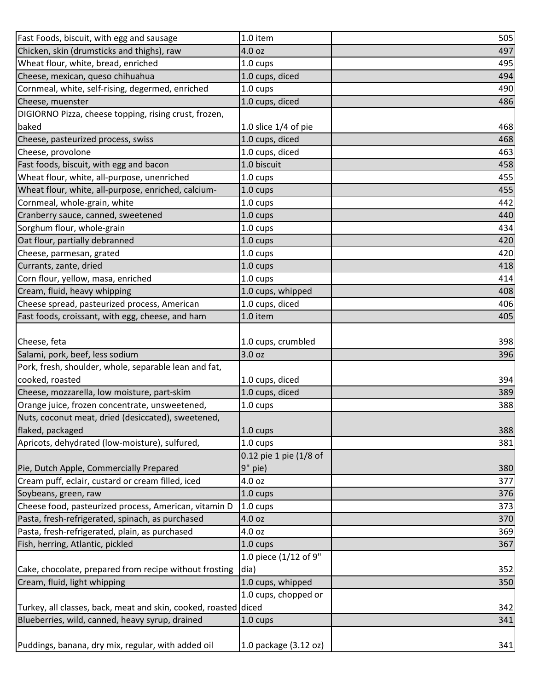| Fast Foods, biscuit, with egg and sausage                       | 1.0 item               | 505 |
|-----------------------------------------------------------------|------------------------|-----|
| Chicken, skin (drumsticks and thighs), raw                      | 4.0 oz                 | 497 |
| Wheat flour, white, bread, enriched                             | $1.0 \text{ cups}$     | 495 |
| Cheese, mexican, queso chihuahua                                | 1.0 cups, diced        | 494 |
| Cornmeal, white, self-rising, degermed, enriched                | 1.0 cups               | 490 |
| Cheese, muenster                                                | 1.0 cups, diced        | 486 |
| DIGIORNO Pizza, cheese topping, rising crust, frozen,           |                        |     |
| baked                                                           | 1.0 slice $1/4$ of pie | 468 |
| Cheese, pasteurized process, swiss                              | 1.0 cups, diced        | 468 |
| Cheese, provolone                                               | 1.0 cups, diced        | 463 |
| Fast foods, biscuit, with egg and bacon                         | 1.0 biscuit            | 458 |
| Wheat flour, white, all-purpose, unenriched                     | 1.0 cups               | 455 |
| Wheat flour, white, all-purpose, enriched, calcium-             | 1.0 cups               | 455 |
| Cornmeal, whole-grain, white                                    | 1.0 cups               | 442 |
| Cranberry sauce, canned, sweetened                              | 1.0 cups               | 440 |
| Sorghum flour, whole-grain                                      | 1.0 cups               | 434 |
| Oat flour, partially debranned                                  | 1.0 cups               | 420 |
| Cheese, parmesan, grated                                        | 1.0 cups               | 420 |
| Currants, zante, dried                                          | 1.0 cups               | 418 |
| Corn flour, yellow, masa, enriched                              | $1.0 \text{ cups}$     | 414 |
| Cream, fluid, heavy whipping                                    | 1.0 cups, whipped      | 408 |
| Cheese spread, pasteurized process, American                    | 1.0 cups, diced        | 406 |
| Fast foods, croissant, with egg, cheese, and ham                | 1.0 item               | 405 |
|                                                                 |                        |     |
| Cheese, feta                                                    | 1.0 cups, crumbled     | 398 |
| Salami, pork, beef, less sodium                                 | 3.0 oz                 | 396 |
| Pork, fresh, shoulder, whole, separable lean and fat,           |                        |     |
| cooked, roasted                                                 | 1.0 cups, diced        | 394 |
| Cheese, mozzarella, low moisture, part-skim                     | 1.0 cups, diced        | 389 |
| Orange juice, frozen concentrate, unsweetened,                  | 1.0 cups               | 388 |
| Nuts, coconut meat, dried (desiccated), sweetened,              |                        |     |
| flaked, packaged                                                | 1.0 cups               | 388 |
| Apricots, dehydrated (low-moisture), sulfured,                  | 1.0 cups               | 381 |
|                                                                 | 0.12 pie 1 pie (1/8 of |     |
| Pie, Dutch Apple, Commercially Prepared                         | 9" pie)                | 380 |
| Cream puff, eclair, custard or cream filled, iced               | 4.0 oz                 | 377 |
| Soybeans, green, raw                                            | 1.0 cups               | 376 |
| Cheese food, pasteurized process, American, vitamin D           | 1.0 cups               | 373 |
| Pasta, fresh-refrigerated, spinach, as purchased                | 4.0 oz                 | 370 |
| Pasta, fresh-refrigerated, plain, as purchased                  | 4.0 oz                 | 369 |
| Fish, herring, Atlantic, pickled                                | 1.0 cups               | 367 |
|                                                                 | 1.0 piece (1/12 of 9"  |     |
| Cake, chocolate, prepared from recipe without frosting          | dia)                   | 352 |
| Cream, fluid, light whipping                                    | 1.0 cups, whipped      | 350 |
|                                                                 | 1.0 cups, chopped or   |     |
| Turkey, all classes, back, meat and skin, cooked, roasted diced |                        | 342 |
| Blueberries, wild, canned, heavy syrup, drained                 | 1.0 cups               | 341 |
|                                                                 |                        |     |
| Puddings, banana, dry mix, regular, with added oil              | 1.0 package (3.12 oz)  | 341 |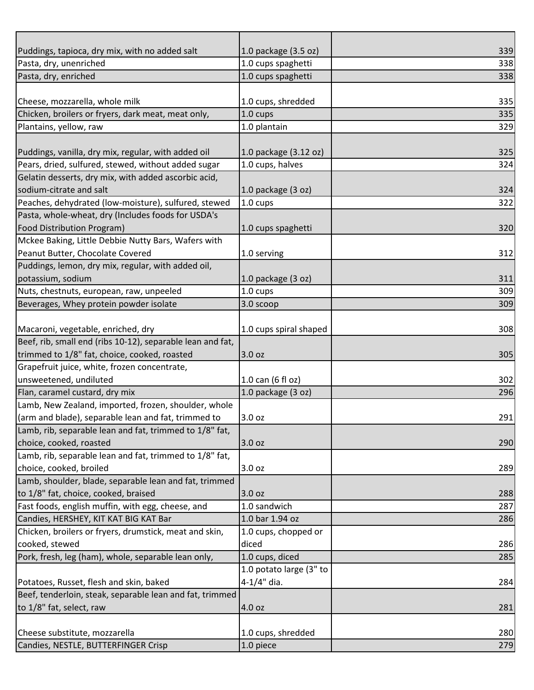| Puddings, tapioca, dry mix, with no added salt             | 1.0 package (3.5 oz)    | 339 |
|------------------------------------------------------------|-------------------------|-----|
| Pasta, dry, unenriched                                     | 1.0 cups spaghetti      | 338 |
| Pasta, dry, enriched                                       | 1.0 cups spaghetti      | 338 |
|                                                            |                         |     |
| Cheese, mozzarella, whole milk                             | 1.0 cups, shredded      | 335 |
| Chicken, broilers or fryers, dark meat, meat only,         | 1.0 cups                | 335 |
| Plantains, yellow, raw                                     | 1.0 plantain            | 329 |
|                                                            |                         |     |
| Puddings, vanilla, dry mix, regular, with added oil        | 1.0 package (3.12 oz)   | 325 |
| Pears, dried, sulfured, stewed, without added sugar        | 1.0 cups, halves        | 324 |
| Gelatin desserts, dry mix, with added ascorbic acid,       |                         |     |
| sodium-citrate and salt                                    | 1.0 package $(3 oz)$    | 324 |
| Peaches, dehydrated (low-moisture), sulfured, stewed       | $1.0 \text{ cups}$      | 322 |
| Pasta, whole-wheat, dry (Includes foods for USDA's         |                         |     |
| <b>Food Distribution Program)</b>                          | 1.0 cups spaghetti      | 320 |
| Mckee Baking, Little Debbie Nutty Bars, Wafers with        |                         |     |
| Peanut Butter, Chocolate Covered                           | 1.0 serving             | 312 |
| Puddings, lemon, dry mix, regular, with added oil,         |                         |     |
| potassium, sodium                                          | 1.0 package $(3 oz)$    | 311 |
| Nuts, chestnuts, european, raw, unpeeled                   | 1.0 cups                | 309 |
| Beverages, Whey protein powder isolate                     | 3.0 scoop               | 309 |
|                                                            |                         |     |
| Macaroni, vegetable, enriched, dry                         | 1.0 cups spiral shaped  | 308 |
| Beef, rib, small end (ribs 10-12), separable lean and fat, |                         |     |
| trimmed to 1/8" fat, choice, cooked, roasted               | 3.0 oz                  | 305 |
| Grapefruit juice, white, frozen concentrate,               |                         |     |
| unsweetened, undiluted                                     | 1.0 can (6 fl oz)       | 302 |
| Flan, caramel custard, dry mix                             | 1.0 package $(3 oz)$    | 296 |
| Lamb, New Zealand, imported, frozen, shoulder, whole       |                         |     |
| (arm and blade), separable lean and fat, trimmed to        | 3.0 oz                  | 291 |
| Lamb, rib, separable lean and fat, trimmed to 1/8" fat,    |                         |     |
| choice, cooked, roasted                                    | 3.0 oz                  | 290 |
| Lamb, rib, separable lean and fat, trimmed to 1/8" fat,    |                         |     |
| choice, cooked, broiled                                    | 3.0 oz                  | 289 |
| Lamb, shoulder, blade, separable lean and fat, trimmed     |                         |     |
| to 1/8" fat, choice, cooked, braised                       | 3.0 oz                  | 288 |
| Fast foods, english muffin, with egg, cheese, and          | 1.0 sandwich            | 287 |
| Candies, HERSHEY, KIT KAT BIG KAT Bar                      | 1.0 bar 1.94 oz         | 286 |
| Chicken, broilers or fryers, drumstick, meat and skin,     | 1.0 cups, chopped or    |     |
| cooked, stewed                                             | diced                   | 286 |
| Pork, fresh, leg (ham), whole, separable lean only,        | 1.0 cups, diced         | 285 |
|                                                            | 1.0 potato large (3" to |     |
| Potatoes, Russet, flesh and skin, baked                    | 4-1/4" dia.             | 284 |
| Beef, tenderloin, steak, separable lean and fat, trimmed   |                         |     |
| to 1/8" fat, select, raw                                   | 4.0 oz                  | 281 |
|                                                            |                         |     |
|                                                            |                         |     |
| Cheese substitute, mozzarella                              | 1.0 cups, shredded      | 280 |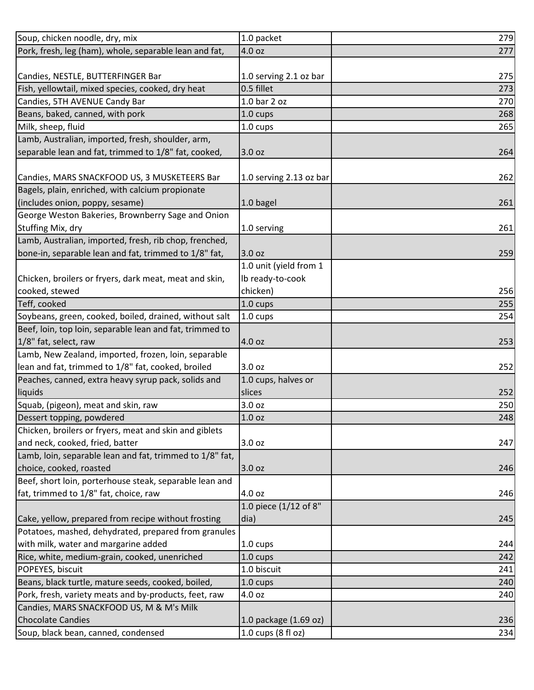| Soup, chicken noodle, dry, mix                           | 1.0 packet              | 279 |
|----------------------------------------------------------|-------------------------|-----|
| Pork, fresh, leg (ham), whole, separable lean and fat,   | 4.0 oz                  | 277 |
|                                                          |                         |     |
| Candies, NESTLE, BUTTERFINGER Bar                        | 1.0 serving 2.1 oz bar  | 275 |
| Fish, yellowtail, mixed species, cooked, dry heat        | 0.5 fillet              | 273 |
| Candies, 5TH AVENUE Candy Bar                            | 1.0 bar 2 oz            | 270 |
| Beans, baked, canned, with pork                          | 1.0 cups                | 268 |
| Milk, sheep, fluid                                       | 1.0 cups                | 265 |
| Lamb, Australian, imported, fresh, shoulder, arm,        |                         |     |
| separable lean and fat, trimmed to 1/8" fat, cooked,     | 3.0 oz                  | 264 |
|                                                          |                         |     |
| Candies, MARS SNACKFOOD US, 3 MUSKETEERS Bar             | 1.0 serving 2.13 oz bar | 262 |
| Bagels, plain, enriched, with calcium propionate         |                         |     |
| (includes onion, poppy, sesame)                          | 1.0 bagel               | 261 |
| George Weston Bakeries, Brownberry Sage and Onion        |                         |     |
| Stuffing Mix, dry                                        | 1.0 serving             | 261 |
| Lamb, Australian, imported, fresh, rib chop, frenched,   |                         |     |
| bone-in, separable lean and fat, trimmed to 1/8" fat,    | 3.0 oz                  | 259 |
|                                                          | 1.0 unit (yield from 1  |     |
| Chicken, broilers or fryers, dark meat, meat and skin,   | Ib ready-to-cook        |     |
| cooked, stewed                                           | chicken)                | 256 |
| Teff, cooked                                             | 1.0 cups                | 255 |
| Soybeans, green, cooked, boiled, drained, without salt   | $1.0 \text{ cups}$      | 254 |
| Beef, loin, top loin, separable lean and fat, trimmed to |                         |     |
| 1/8" fat, select, raw                                    | 4.0 oz                  | 253 |
| Lamb, New Zealand, imported, frozen, loin, separable     |                         |     |
| lean and fat, trimmed to 1/8" fat, cooked, broiled       | 3.0 oz                  | 252 |
| Peaches, canned, extra heavy syrup pack, solids and      | 1.0 cups, halves or     |     |
| liquids                                                  | slices                  | 252 |
| Squab, (pigeon), meat and skin, raw                      | 3.0 oz                  | 250 |
| Dessert topping, powdered                                | 1.0 oz                  | 248 |
| Chicken, broilers or fryers, meat and skin and giblets   |                         |     |
| and neck, cooked, fried, batter                          | 3.0 oz                  | 247 |
| Lamb, loin, separable lean and fat, trimmed to 1/8" fat, |                         |     |
| choice, cooked, roasted                                  | 3.0 oz                  | 246 |
| Beef, short loin, porterhouse steak, separable lean and  |                         |     |
| fat, trimmed to 1/8" fat, choice, raw                    | 4.0 oz                  | 246 |
|                                                          | 1.0 piece (1/12 of 8"   |     |
| Cake, yellow, prepared from recipe without frosting      | dia)                    | 245 |
| Potatoes, mashed, dehydrated, prepared from granules     |                         |     |
| with milk, water and margarine added                     | 1.0 cups                | 244 |
| Rice, white, medium-grain, cooked, unenriched            | 1.0 cups                | 242 |
| POPEYES, biscuit                                         | 1.0 biscuit             | 241 |
| Beans, black turtle, mature seeds, cooked, boiled,       | 1.0 cups                | 240 |
| Pork, fresh, variety meats and by-products, feet, raw    | 4.0 oz                  | 240 |
| Candies, MARS SNACKFOOD US, M & M's Milk                 |                         |     |
| <b>Chocolate Candies</b>                                 | 1.0 package (1.69 oz)   | 236 |
| Soup, black bean, canned, condensed                      | 1.0 cups (8 fl oz)      | 234 |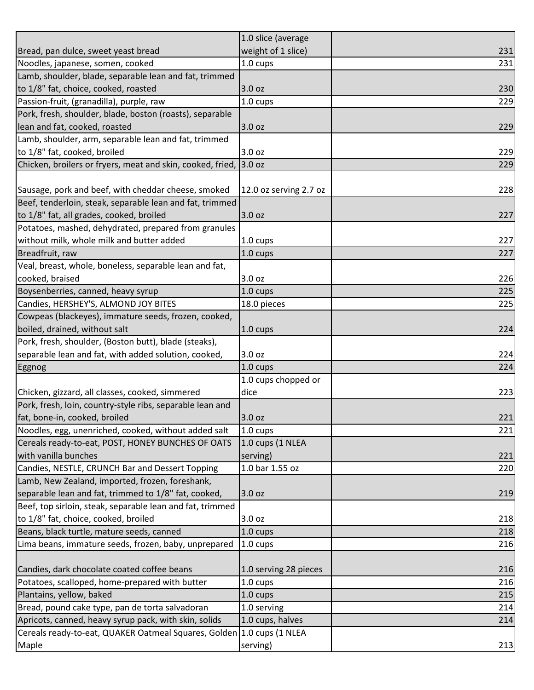|                                                                       | 1.0 slice (average     |     |
|-----------------------------------------------------------------------|------------------------|-----|
| Bread, pan dulce, sweet yeast bread                                   | weight of 1 slice)     | 231 |
| Noodles, japanese, somen, cooked                                      | 1.0 cups               | 231 |
| Lamb, shoulder, blade, separable lean and fat, trimmed                |                        |     |
| to 1/8" fat, choice, cooked, roasted                                  | 3.0 oz                 | 230 |
| Passion-fruit, (granadilla), purple, raw                              | 1.0 cups               | 229 |
| Pork, fresh, shoulder, blade, boston (roasts), separable              |                        |     |
| lean and fat, cooked, roasted                                         | 3.0 oz                 | 229 |
| Lamb, shoulder, arm, separable lean and fat, trimmed                  |                        |     |
| to 1/8" fat, cooked, broiled                                          | 3.0 oz                 | 229 |
| Chicken, broilers or fryers, meat and skin, cooked, fried,            | 3.0 oz                 | 229 |
|                                                                       |                        |     |
| Sausage, pork and beef, with cheddar cheese, smoked                   | 12.0 oz serving 2.7 oz | 228 |
| Beef, tenderloin, steak, separable lean and fat, trimmed              |                        |     |
| to 1/8" fat, all grades, cooked, broiled                              | 3.0 oz                 | 227 |
| Potatoes, mashed, dehydrated, prepared from granules                  |                        |     |
| without milk, whole milk and butter added                             | 1.0 cups               | 227 |
| Breadfruit, raw                                                       | 1.0 cups               | 227 |
| Veal, breast, whole, boneless, separable lean and fat,                |                        |     |
| cooked, braised                                                       | 3.0 oz                 | 226 |
| Boysenberries, canned, heavy syrup                                    | 1.0 cups               | 225 |
| Candies, HERSHEY'S, ALMOND JOY BITES                                  | 18.0 pieces            | 225 |
| Cowpeas (blackeyes), immature seeds, frozen, cooked,                  |                        |     |
| boiled, drained, without salt                                         | 1.0 cups               | 224 |
| Pork, fresh, shoulder, (Boston butt), blade (steaks),                 |                        |     |
| separable lean and fat, with added solution, cooked,                  | 3.0 oz                 | 224 |
| <b>Eggnog</b>                                                         | 1.0 cups               | 224 |
|                                                                       | 1.0 cups chopped or    |     |
| Chicken, gizzard, all classes, cooked, simmered                       | dice                   | 223 |
| Pork, fresh, loin, country-style ribs, separable lean and             |                        |     |
| fat, bone-in, cooked, broiled                                         | 3.0 oz                 | 221 |
| Noodles, egg, unenriched, cooked, without added salt                  | 1.0 cups               | 221 |
| Cereals ready-to-eat, POST, HONEY BUNCHES OF OATS                     | 1.0 cups (1 NLEA       |     |
| with vanilla bunches                                                  | serving)               | 221 |
| Candies, NESTLE, CRUNCH Bar and Dessert Topping                       | 1.0 bar 1.55 oz        | 220 |
| Lamb, New Zealand, imported, frozen, foreshank,                       |                        |     |
| separable lean and fat, trimmed to 1/8" fat, cooked,                  | 3.0 oz                 | 219 |
| Beef, top sirloin, steak, separable lean and fat, trimmed             |                        |     |
| to 1/8" fat, choice, cooked, broiled                                  | 3.0 oz                 | 218 |
| Beans, black turtle, mature seeds, canned                             | 1.0 cups               | 218 |
| Lima beans, immature seeds, frozen, baby, unprepared                  | $1.0 \text{ cups}$     | 216 |
|                                                                       |                        |     |
| Candies, dark chocolate coated coffee beans                           | 1.0 serving 28 pieces  | 216 |
| Potatoes, scalloped, home-prepared with butter                        | $1.0 \text{ cups}$     | 216 |
| Plantains, yellow, baked                                              | $1.0 \text{ cups}$     | 215 |
| Bread, pound cake type, pan de torta salvadoran                       | 1.0 serving            | 214 |
| Apricots, canned, heavy syrup pack, with skin, solids                 | 1.0 cups, halves       | 214 |
| Cereals ready-to-eat, QUAKER Oatmeal Squares, Golden 1.0 cups (1 NLEA |                        |     |
| Maple                                                                 | serving)               | 213 |
|                                                                       |                        |     |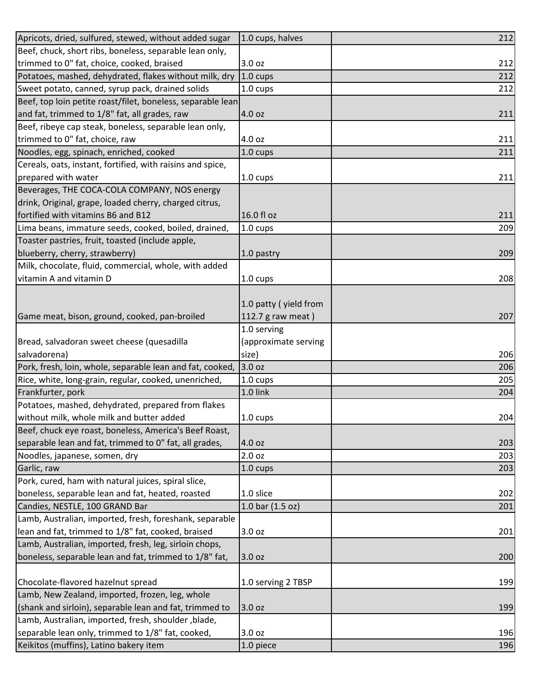| 3.0 oz<br>212<br>$1.0 \text{ cups}$<br>1.0 cups<br>212<br>Beef, top loin petite roast/filet, boneless, separable lean<br>4.0 oz<br>211<br>4.0 oz<br>211<br>Noodles, egg, spinach, enriched, cooked<br>1.0 cups<br>211<br>1.0 cups<br>211<br>Beverages, THE COCA-COLA COMPANY, NOS energy<br>drink, Original, grape, loaded cherry, charged citrus,<br>16.0 fl oz<br>211<br>Lima beans, immature seeds, cooked, boiled, drained,<br>1.0 cups<br>209<br>Toaster pastries, fruit, toasted (include apple,<br>blueberry, cherry, strawberry)<br>209<br>1.0 pastry<br>Milk, chocolate, fluid, commercial, whole, with added<br>vitamin A and vitamin D<br>1.0 cups<br>1.0 patty (yield from<br>207<br>Game meat, bison, ground, cooked, pan-broiled<br>112.7 g raw meat)<br>1.0 serving<br>Bread, salvadoran sweet cheese (quesadilla<br>(approximate serving<br>206<br>salvadorena)<br>size)<br>Pork, fresh, loin, whole, separable lean and fat, cooked,<br>3.0 oz<br>206<br>Rice, white, long-grain, regular, cooked, unenriched,<br>205<br>1.0 cups<br>Frankfurter, pork<br>1.0 link<br>204<br>Potatoes, mashed, dehydrated, prepared from flakes<br>without milk, whole milk and butter added<br>1.0 cups<br>Beef, chuck eye roast, boneless, America's Beef Roast,<br>separable lean and fat, trimmed to 0" fat, all grades,<br>4.0 oz<br>203<br>2.0 oz<br>203<br>Noodles, japanese, somen, dry<br>Garlic, raw<br>1.0 cups<br>203<br>Pork, cured, ham with natural juices, spiral slice,<br>boneless, separable lean and fat, heated, roasted<br>1.0 slice<br>202<br>Candies, NESTLE, 100 GRAND Bar<br>1.0 bar (1.5 oz)<br>201<br>Lamb, Australian, imported, fresh, foreshank, separable<br>lean and fat, trimmed to 1/8" fat, cooked, braised<br>3.0 oz<br>201<br>Lamb, Australian, imported, fresh, leg, sirloin chops,<br>boneless, separable lean and fat, trimmed to 1/8" fat,<br>200<br>3.0 oz<br>Chocolate-flavored hazelnut spread<br>1.0 serving 2 TBSP<br>199<br>Lamb, New Zealand, imported, frozen, leg, whole<br>(shank and sirloin), separable lean and fat, trimmed to<br>3.0 oz<br>199<br>Lamb, Australian, imported, fresh, shoulder, blade,<br>separable lean only, trimmed to 1/8" fat, cooked,<br>196<br>3.0 oz<br>Keikitos (muffins), Latino bakery item<br>1.0 piece<br>196 | Apricots, dried, sulfured, stewed, without added sugar     | 1.0 cups, halves | 212 |
|-----------------------------------------------------------------------------------------------------------------------------------------------------------------------------------------------------------------------------------------------------------------------------------------------------------------------------------------------------------------------------------------------------------------------------------------------------------------------------------------------------------------------------------------------------------------------------------------------------------------------------------------------------------------------------------------------------------------------------------------------------------------------------------------------------------------------------------------------------------------------------------------------------------------------------------------------------------------------------------------------------------------------------------------------------------------------------------------------------------------------------------------------------------------------------------------------------------------------------------------------------------------------------------------------------------------------------------------------------------------------------------------------------------------------------------------------------------------------------------------------------------------------------------------------------------------------------------------------------------------------------------------------------------------------------------------------------------------------------------------------------------------------------------------------------------------------------------------------------------------------------------------------------------------------------------------------------------------------------------------------------------------------------------------------------------------------------------------------------------------------------------------------------------------------------------------------------------------------------------------------------------------------------------------------------|------------------------------------------------------------|------------------|-----|
| 212<br>208<br>204                                                                                                                                                                                                                                                                                                                                                                                                                                                                                                                                                                                                                                                                                                                                                                                                                                                                                                                                                                                                                                                                                                                                                                                                                                                                                                                                                                                                                                                                                                                                                                                                                                                                                                                                                                                                                                                                                                                                                                                                                                                                                                                                                                                                                                                                                   | Beef, chuck, short ribs, boneless, separable lean only,    |                  |     |
|                                                                                                                                                                                                                                                                                                                                                                                                                                                                                                                                                                                                                                                                                                                                                                                                                                                                                                                                                                                                                                                                                                                                                                                                                                                                                                                                                                                                                                                                                                                                                                                                                                                                                                                                                                                                                                                                                                                                                                                                                                                                                                                                                                                                                                                                                                     | trimmed to 0" fat, choice, cooked, braised                 |                  |     |
|                                                                                                                                                                                                                                                                                                                                                                                                                                                                                                                                                                                                                                                                                                                                                                                                                                                                                                                                                                                                                                                                                                                                                                                                                                                                                                                                                                                                                                                                                                                                                                                                                                                                                                                                                                                                                                                                                                                                                                                                                                                                                                                                                                                                                                                                                                     | Potatoes, mashed, dehydrated, flakes without milk, dry     |                  |     |
|                                                                                                                                                                                                                                                                                                                                                                                                                                                                                                                                                                                                                                                                                                                                                                                                                                                                                                                                                                                                                                                                                                                                                                                                                                                                                                                                                                                                                                                                                                                                                                                                                                                                                                                                                                                                                                                                                                                                                                                                                                                                                                                                                                                                                                                                                                     | Sweet potato, canned, syrup pack, drained solids           |                  |     |
|                                                                                                                                                                                                                                                                                                                                                                                                                                                                                                                                                                                                                                                                                                                                                                                                                                                                                                                                                                                                                                                                                                                                                                                                                                                                                                                                                                                                                                                                                                                                                                                                                                                                                                                                                                                                                                                                                                                                                                                                                                                                                                                                                                                                                                                                                                     |                                                            |                  |     |
|                                                                                                                                                                                                                                                                                                                                                                                                                                                                                                                                                                                                                                                                                                                                                                                                                                                                                                                                                                                                                                                                                                                                                                                                                                                                                                                                                                                                                                                                                                                                                                                                                                                                                                                                                                                                                                                                                                                                                                                                                                                                                                                                                                                                                                                                                                     | and fat, trimmed to 1/8" fat, all grades, raw              |                  |     |
|                                                                                                                                                                                                                                                                                                                                                                                                                                                                                                                                                                                                                                                                                                                                                                                                                                                                                                                                                                                                                                                                                                                                                                                                                                                                                                                                                                                                                                                                                                                                                                                                                                                                                                                                                                                                                                                                                                                                                                                                                                                                                                                                                                                                                                                                                                     | Beef, ribeye cap steak, boneless, separable lean only,     |                  |     |
|                                                                                                                                                                                                                                                                                                                                                                                                                                                                                                                                                                                                                                                                                                                                                                                                                                                                                                                                                                                                                                                                                                                                                                                                                                                                                                                                                                                                                                                                                                                                                                                                                                                                                                                                                                                                                                                                                                                                                                                                                                                                                                                                                                                                                                                                                                     | trimmed to 0" fat, choice, raw                             |                  |     |
|                                                                                                                                                                                                                                                                                                                                                                                                                                                                                                                                                                                                                                                                                                                                                                                                                                                                                                                                                                                                                                                                                                                                                                                                                                                                                                                                                                                                                                                                                                                                                                                                                                                                                                                                                                                                                                                                                                                                                                                                                                                                                                                                                                                                                                                                                                     |                                                            |                  |     |
|                                                                                                                                                                                                                                                                                                                                                                                                                                                                                                                                                                                                                                                                                                                                                                                                                                                                                                                                                                                                                                                                                                                                                                                                                                                                                                                                                                                                                                                                                                                                                                                                                                                                                                                                                                                                                                                                                                                                                                                                                                                                                                                                                                                                                                                                                                     | Cereals, oats, instant, fortified, with raisins and spice, |                  |     |
|                                                                                                                                                                                                                                                                                                                                                                                                                                                                                                                                                                                                                                                                                                                                                                                                                                                                                                                                                                                                                                                                                                                                                                                                                                                                                                                                                                                                                                                                                                                                                                                                                                                                                                                                                                                                                                                                                                                                                                                                                                                                                                                                                                                                                                                                                                     | prepared with water                                        |                  |     |
|                                                                                                                                                                                                                                                                                                                                                                                                                                                                                                                                                                                                                                                                                                                                                                                                                                                                                                                                                                                                                                                                                                                                                                                                                                                                                                                                                                                                                                                                                                                                                                                                                                                                                                                                                                                                                                                                                                                                                                                                                                                                                                                                                                                                                                                                                                     |                                                            |                  |     |
|                                                                                                                                                                                                                                                                                                                                                                                                                                                                                                                                                                                                                                                                                                                                                                                                                                                                                                                                                                                                                                                                                                                                                                                                                                                                                                                                                                                                                                                                                                                                                                                                                                                                                                                                                                                                                                                                                                                                                                                                                                                                                                                                                                                                                                                                                                     |                                                            |                  |     |
|                                                                                                                                                                                                                                                                                                                                                                                                                                                                                                                                                                                                                                                                                                                                                                                                                                                                                                                                                                                                                                                                                                                                                                                                                                                                                                                                                                                                                                                                                                                                                                                                                                                                                                                                                                                                                                                                                                                                                                                                                                                                                                                                                                                                                                                                                                     | fortified with vitamins B6 and B12                         |                  |     |
|                                                                                                                                                                                                                                                                                                                                                                                                                                                                                                                                                                                                                                                                                                                                                                                                                                                                                                                                                                                                                                                                                                                                                                                                                                                                                                                                                                                                                                                                                                                                                                                                                                                                                                                                                                                                                                                                                                                                                                                                                                                                                                                                                                                                                                                                                                     |                                                            |                  |     |
|                                                                                                                                                                                                                                                                                                                                                                                                                                                                                                                                                                                                                                                                                                                                                                                                                                                                                                                                                                                                                                                                                                                                                                                                                                                                                                                                                                                                                                                                                                                                                                                                                                                                                                                                                                                                                                                                                                                                                                                                                                                                                                                                                                                                                                                                                                     |                                                            |                  |     |
|                                                                                                                                                                                                                                                                                                                                                                                                                                                                                                                                                                                                                                                                                                                                                                                                                                                                                                                                                                                                                                                                                                                                                                                                                                                                                                                                                                                                                                                                                                                                                                                                                                                                                                                                                                                                                                                                                                                                                                                                                                                                                                                                                                                                                                                                                                     |                                                            |                  |     |
|                                                                                                                                                                                                                                                                                                                                                                                                                                                                                                                                                                                                                                                                                                                                                                                                                                                                                                                                                                                                                                                                                                                                                                                                                                                                                                                                                                                                                                                                                                                                                                                                                                                                                                                                                                                                                                                                                                                                                                                                                                                                                                                                                                                                                                                                                                     |                                                            |                  |     |
|                                                                                                                                                                                                                                                                                                                                                                                                                                                                                                                                                                                                                                                                                                                                                                                                                                                                                                                                                                                                                                                                                                                                                                                                                                                                                                                                                                                                                                                                                                                                                                                                                                                                                                                                                                                                                                                                                                                                                                                                                                                                                                                                                                                                                                                                                                     |                                                            |                  |     |
|                                                                                                                                                                                                                                                                                                                                                                                                                                                                                                                                                                                                                                                                                                                                                                                                                                                                                                                                                                                                                                                                                                                                                                                                                                                                                                                                                                                                                                                                                                                                                                                                                                                                                                                                                                                                                                                                                                                                                                                                                                                                                                                                                                                                                                                                                                     |                                                            |                  |     |
|                                                                                                                                                                                                                                                                                                                                                                                                                                                                                                                                                                                                                                                                                                                                                                                                                                                                                                                                                                                                                                                                                                                                                                                                                                                                                                                                                                                                                                                                                                                                                                                                                                                                                                                                                                                                                                                                                                                                                                                                                                                                                                                                                                                                                                                                                                     |                                                            |                  |     |
|                                                                                                                                                                                                                                                                                                                                                                                                                                                                                                                                                                                                                                                                                                                                                                                                                                                                                                                                                                                                                                                                                                                                                                                                                                                                                                                                                                                                                                                                                                                                                                                                                                                                                                                                                                                                                                                                                                                                                                                                                                                                                                                                                                                                                                                                                                     |                                                            |                  |     |
|                                                                                                                                                                                                                                                                                                                                                                                                                                                                                                                                                                                                                                                                                                                                                                                                                                                                                                                                                                                                                                                                                                                                                                                                                                                                                                                                                                                                                                                                                                                                                                                                                                                                                                                                                                                                                                                                                                                                                                                                                                                                                                                                                                                                                                                                                                     |                                                            |                  |     |
|                                                                                                                                                                                                                                                                                                                                                                                                                                                                                                                                                                                                                                                                                                                                                                                                                                                                                                                                                                                                                                                                                                                                                                                                                                                                                                                                                                                                                                                                                                                                                                                                                                                                                                                                                                                                                                                                                                                                                                                                                                                                                                                                                                                                                                                                                                     |                                                            |                  |     |
|                                                                                                                                                                                                                                                                                                                                                                                                                                                                                                                                                                                                                                                                                                                                                                                                                                                                                                                                                                                                                                                                                                                                                                                                                                                                                                                                                                                                                                                                                                                                                                                                                                                                                                                                                                                                                                                                                                                                                                                                                                                                                                                                                                                                                                                                                                     |                                                            |                  |     |
|                                                                                                                                                                                                                                                                                                                                                                                                                                                                                                                                                                                                                                                                                                                                                                                                                                                                                                                                                                                                                                                                                                                                                                                                                                                                                                                                                                                                                                                                                                                                                                                                                                                                                                                                                                                                                                                                                                                                                                                                                                                                                                                                                                                                                                                                                                     |                                                            |                  |     |
|                                                                                                                                                                                                                                                                                                                                                                                                                                                                                                                                                                                                                                                                                                                                                                                                                                                                                                                                                                                                                                                                                                                                                                                                                                                                                                                                                                                                                                                                                                                                                                                                                                                                                                                                                                                                                                                                                                                                                                                                                                                                                                                                                                                                                                                                                                     |                                                            |                  |     |
|                                                                                                                                                                                                                                                                                                                                                                                                                                                                                                                                                                                                                                                                                                                                                                                                                                                                                                                                                                                                                                                                                                                                                                                                                                                                                                                                                                                                                                                                                                                                                                                                                                                                                                                                                                                                                                                                                                                                                                                                                                                                                                                                                                                                                                                                                                     |                                                            |                  |     |
|                                                                                                                                                                                                                                                                                                                                                                                                                                                                                                                                                                                                                                                                                                                                                                                                                                                                                                                                                                                                                                                                                                                                                                                                                                                                                                                                                                                                                                                                                                                                                                                                                                                                                                                                                                                                                                                                                                                                                                                                                                                                                                                                                                                                                                                                                                     |                                                            |                  |     |
|                                                                                                                                                                                                                                                                                                                                                                                                                                                                                                                                                                                                                                                                                                                                                                                                                                                                                                                                                                                                                                                                                                                                                                                                                                                                                                                                                                                                                                                                                                                                                                                                                                                                                                                                                                                                                                                                                                                                                                                                                                                                                                                                                                                                                                                                                                     |                                                            |                  |     |
|                                                                                                                                                                                                                                                                                                                                                                                                                                                                                                                                                                                                                                                                                                                                                                                                                                                                                                                                                                                                                                                                                                                                                                                                                                                                                                                                                                                                                                                                                                                                                                                                                                                                                                                                                                                                                                                                                                                                                                                                                                                                                                                                                                                                                                                                                                     |                                                            |                  |     |
|                                                                                                                                                                                                                                                                                                                                                                                                                                                                                                                                                                                                                                                                                                                                                                                                                                                                                                                                                                                                                                                                                                                                                                                                                                                                                                                                                                                                                                                                                                                                                                                                                                                                                                                                                                                                                                                                                                                                                                                                                                                                                                                                                                                                                                                                                                     |                                                            |                  |     |
|                                                                                                                                                                                                                                                                                                                                                                                                                                                                                                                                                                                                                                                                                                                                                                                                                                                                                                                                                                                                                                                                                                                                                                                                                                                                                                                                                                                                                                                                                                                                                                                                                                                                                                                                                                                                                                                                                                                                                                                                                                                                                                                                                                                                                                                                                                     |                                                            |                  |     |
|                                                                                                                                                                                                                                                                                                                                                                                                                                                                                                                                                                                                                                                                                                                                                                                                                                                                                                                                                                                                                                                                                                                                                                                                                                                                                                                                                                                                                                                                                                                                                                                                                                                                                                                                                                                                                                                                                                                                                                                                                                                                                                                                                                                                                                                                                                     |                                                            |                  |     |
|                                                                                                                                                                                                                                                                                                                                                                                                                                                                                                                                                                                                                                                                                                                                                                                                                                                                                                                                                                                                                                                                                                                                                                                                                                                                                                                                                                                                                                                                                                                                                                                                                                                                                                                                                                                                                                                                                                                                                                                                                                                                                                                                                                                                                                                                                                     |                                                            |                  |     |
|                                                                                                                                                                                                                                                                                                                                                                                                                                                                                                                                                                                                                                                                                                                                                                                                                                                                                                                                                                                                                                                                                                                                                                                                                                                                                                                                                                                                                                                                                                                                                                                                                                                                                                                                                                                                                                                                                                                                                                                                                                                                                                                                                                                                                                                                                                     |                                                            |                  |     |
|                                                                                                                                                                                                                                                                                                                                                                                                                                                                                                                                                                                                                                                                                                                                                                                                                                                                                                                                                                                                                                                                                                                                                                                                                                                                                                                                                                                                                                                                                                                                                                                                                                                                                                                                                                                                                                                                                                                                                                                                                                                                                                                                                                                                                                                                                                     |                                                            |                  |     |
|                                                                                                                                                                                                                                                                                                                                                                                                                                                                                                                                                                                                                                                                                                                                                                                                                                                                                                                                                                                                                                                                                                                                                                                                                                                                                                                                                                                                                                                                                                                                                                                                                                                                                                                                                                                                                                                                                                                                                                                                                                                                                                                                                                                                                                                                                                     |                                                            |                  |     |
|                                                                                                                                                                                                                                                                                                                                                                                                                                                                                                                                                                                                                                                                                                                                                                                                                                                                                                                                                                                                                                                                                                                                                                                                                                                                                                                                                                                                                                                                                                                                                                                                                                                                                                                                                                                                                                                                                                                                                                                                                                                                                                                                                                                                                                                                                                     |                                                            |                  |     |
|                                                                                                                                                                                                                                                                                                                                                                                                                                                                                                                                                                                                                                                                                                                                                                                                                                                                                                                                                                                                                                                                                                                                                                                                                                                                                                                                                                                                                                                                                                                                                                                                                                                                                                                                                                                                                                                                                                                                                                                                                                                                                                                                                                                                                                                                                                     |                                                            |                  |     |
|                                                                                                                                                                                                                                                                                                                                                                                                                                                                                                                                                                                                                                                                                                                                                                                                                                                                                                                                                                                                                                                                                                                                                                                                                                                                                                                                                                                                                                                                                                                                                                                                                                                                                                                                                                                                                                                                                                                                                                                                                                                                                                                                                                                                                                                                                                     |                                                            |                  |     |
|                                                                                                                                                                                                                                                                                                                                                                                                                                                                                                                                                                                                                                                                                                                                                                                                                                                                                                                                                                                                                                                                                                                                                                                                                                                                                                                                                                                                                                                                                                                                                                                                                                                                                                                                                                                                                                                                                                                                                                                                                                                                                                                                                                                                                                                                                                     |                                                            |                  |     |
|                                                                                                                                                                                                                                                                                                                                                                                                                                                                                                                                                                                                                                                                                                                                                                                                                                                                                                                                                                                                                                                                                                                                                                                                                                                                                                                                                                                                                                                                                                                                                                                                                                                                                                                                                                                                                                                                                                                                                                                                                                                                                                                                                                                                                                                                                                     |                                                            |                  |     |
|                                                                                                                                                                                                                                                                                                                                                                                                                                                                                                                                                                                                                                                                                                                                                                                                                                                                                                                                                                                                                                                                                                                                                                                                                                                                                                                                                                                                                                                                                                                                                                                                                                                                                                                                                                                                                                                                                                                                                                                                                                                                                                                                                                                                                                                                                                     |                                                            |                  |     |
|                                                                                                                                                                                                                                                                                                                                                                                                                                                                                                                                                                                                                                                                                                                                                                                                                                                                                                                                                                                                                                                                                                                                                                                                                                                                                                                                                                                                                                                                                                                                                                                                                                                                                                                                                                                                                                                                                                                                                                                                                                                                                                                                                                                                                                                                                                     |                                                            |                  |     |
|                                                                                                                                                                                                                                                                                                                                                                                                                                                                                                                                                                                                                                                                                                                                                                                                                                                                                                                                                                                                                                                                                                                                                                                                                                                                                                                                                                                                                                                                                                                                                                                                                                                                                                                                                                                                                                                                                                                                                                                                                                                                                                                                                                                                                                                                                                     |                                                            |                  |     |
|                                                                                                                                                                                                                                                                                                                                                                                                                                                                                                                                                                                                                                                                                                                                                                                                                                                                                                                                                                                                                                                                                                                                                                                                                                                                                                                                                                                                                                                                                                                                                                                                                                                                                                                                                                                                                                                                                                                                                                                                                                                                                                                                                                                                                                                                                                     |                                                            |                  |     |
|                                                                                                                                                                                                                                                                                                                                                                                                                                                                                                                                                                                                                                                                                                                                                                                                                                                                                                                                                                                                                                                                                                                                                                                                                                                                                                                                                                                                                                                                                                                                                                                                                                                                                                                                                                                                                                                                                                                                                                                                                                                                                                                                                                                                                                                                                                     |                                                            |                  |     |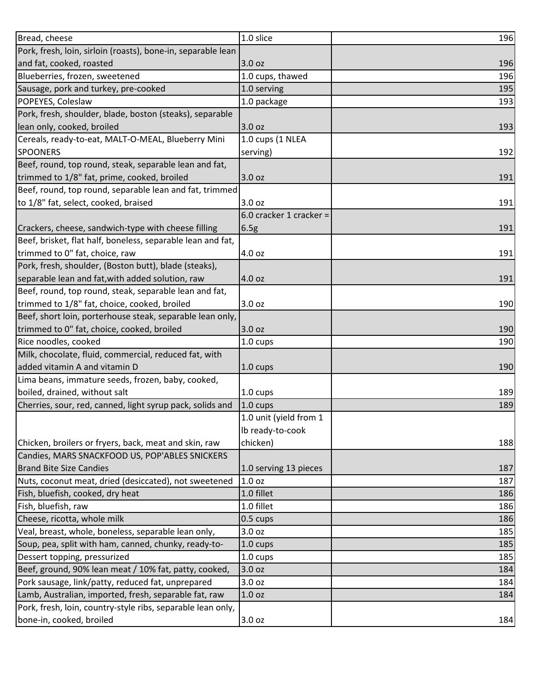| Bread, cheese                                                | 1.0 slice               | 196 |
|--------------------------------------------------------------|-------------------------|-----|
| Pork, fresh, loin, sirloin (roasts), bone-in, separable lean |                         |     |
| and fat, cooked, roasted                                     | 3.0 oz                  | 196 |
| Blueberries, frozen, sweetened                               | 1.0 cups, thawed        | 196 |
| Sausage, pork and turkey, pre-cooked                         | 1.0 serving             | 195 |
| POPEYES, Coleslaw                                            | 1.0 package             | 193 |
| Pork, fresh, shoulder, blade, boston (steaks), separable     |                         |     |
| lean only, cooked, broiled                                   | 3.0 oz                  | 193 |
| Cereals, ready-to-eat, MALT-O-MEAL, Blueberry Mini           | 1.0 cups (1 NLEA        |     |
| <b>SPOONERS</b>                                              | serving)                | 192 |
| Beef, round, top round, steak, separable lean and fat,       |                         |     |
| trimmed to 1/8" fat, prime, cooked, broiled                  | 3.0 oz                  | 191 |
| Beef, round, top round, separable lean and fat, trimmed      |                         |     |
| to 1/8" fat, select, cooked, braised                         | 3.0 oz                  | 191 |
|                                                              | 6.0 cracker 1 cracker = |     |
| Crackers, cheese, sandwich-type with cheese filling          | 6.5g                    | 191 |
| Beef, brisket, flat half, boneless, separable lean and fat,  |                         |     |
| trimmed to 0" fat, choice, raw                               | 4.0 oz                  | 191 |
| Pork, fresh, shoulder, (Boston butt), blade (steaks),        |                         |     |
| separable lean and fat, with added solution, raw             | 4.0 oz                  | 191 |
| Beef, round, top round, steak, separable lean and fat,       |                         |     |
| trimmed to 1/8" fat, choice, cooked, broiled                 | 3.0 oz                  | 190 |
| Beef, short loin, porterhouse steak, separable lean only,    |                         |     |
| trimmed to 0" fat, choice, cooked, broiled                   | 3.0 oz                  | 190 |
| Rice noodles, cooked                                         | 1.0 cups                | 190 |
| Milk, chocolate, fluid, commercial, reduced fat, with        |                         |     |
| added vitamin A and vitamin D                                | $1.0 \text{ cups}$      | 190 |
| Lima beans, immature seeds, frozen, baby, cooked,            |                         |     |
| boiled, drained, without salt                                | 1.0 cups                | 189 |
| Cherries, sour, red, canned, light syrup pack, solids and    | 1.0 cups                | 189 |
|                                                              | 1.0 unit (yield from 1  |     |
|                                                              | Ib ready-to-cook        |     |
| Chicken, broilers or fryers, back, meat and skin, raw        | chicken)                | 188 |
| Candies, MARS SNACKFOOD US, POP'ABLES SNICKERS               |                         |     |
| <b>Brand Bite Size Candies</b>                               | 1.0 serving 13 pieces   | 187 |
| Nuts, coconut meat, dried (desiccated), not sweetened        | 1.0 oz                  | 187 |
| Fish, bluefish, cooked, dry heat                             | 1.0 fillet              | 186 |
| Fish, bluefish, raw                                          | 1.0 fillet              | 186 |
| Cheese, ricotta, whole milk                                  | 0.5 cups                | 186 |
| Veal, breast, whole, boneless, separable lean only,          | 3.0 oz                  | 185 |
| Soup, pea, split with ham, canned, chunky, ready-to-         | 1.0 cups                | 185 |
| Dessert topping, pressurized                                 | 1.0 cups                | 185 |
| Beef, ground, 90% lean meat / 10% fat, patty, cooked,        | 3.0 oz                  | 184 |
| Pork sausage, link/patty, reduced fat, unprepared            | 3.0 oz                  | 184 |
| Lamb, Australian, imported, fresh, separable fat, raw        | 1.0 oz                  | 184 |
| Pork, fresh, loin, country-style ribs, separable lean only,  |                         |     |
| bone-in, cooked, broiled                                     | 3.0 oz                  | 184 |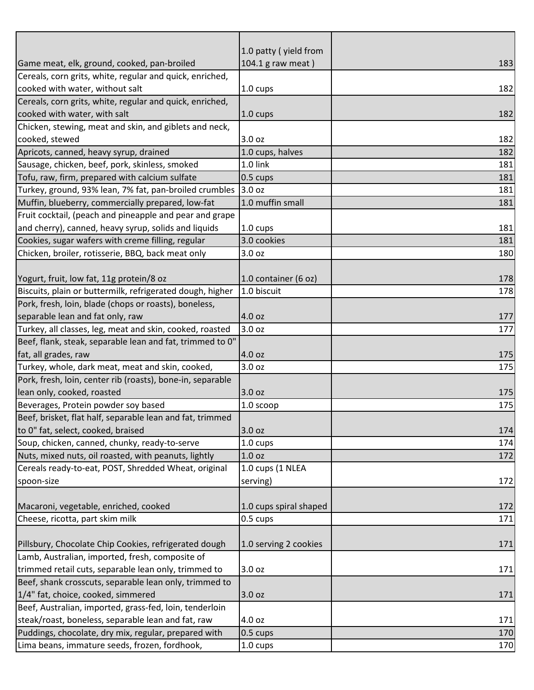|                                                               | 1.0 patty (yield from  |     |
|---------------------------------------------------------------|------------------------|-----|
| Game meat, elk, ground, cooked, pan-broiled                   | 104.1 g raw meat)      | 183 |
| Cereals, corn grits, white, regular and quick, enriched,      |                        |     |
| cooked with water, without salt                               | 1.0 cups               | 182 |
| Cereals, corn grits, white, regular and quick, enriched,      |                        |     |
| cooked with water, with salt                                  | $1.0 \text{ cups}$     | 182 |
| Chicken, stewing, meat and skin, and giblets and neck,        |                        |     |
| cooked, stewed                                                | 3.0 oz                 | 182 |
| Apricots, canned, heavy syrup, drained                        | 1.0 cups, halves       | 182 |
| Sausage, chicken, beef, pork, skinless, smoked                | 1.0 link               | 181 |
| Tofu, raw, firm, prepared with calcium sulfate                | 0.5 cups               | 181 |
| Turkey, ground, 93% lean, 7% fat, pan-broiled crumbles 3.0 oz |                        | 181 |
| Muffin, blueberry, commercially prepared, low-fat             | 1.0 muffin small       | 181 |
| Fruit cocktail, (peach and pineapple and pear and grape       |                        |     |
| and cherry), canned, heavy syrup, solids and liquids          | $1.0 \text{ cups}$     | 181 |
| Cookies, sugar wafers with creme filling, regular             | 3.0 cookies            | 181 |
| Chicken, broiler, rotisserie, BBQ, back meat only             | 3.0 oz                 | 180 |
|                                                               |                        |     |
| Yogurt, fruit, low fat, 11g protein/8 oz                      | 1.0 container (6 oz)   | 178 |
| Biscuits, plain or buttermilk, refrigerated dough, higher     | 1.0 biscuit            | 178 |
| Pork, fresh, loin, blade (chops or roasts), boneless,         |                        |     |
| separable lean and fat only, raw                              | 4.0 oz                 | 177 |
| Turkey, all classes, leg, meat and skin, cooked, roasted      | 3.0 oz                 | 177 |
| Beef, flank, steak, separable lean and fat, trimmed to 0"     |                        |     |
| fat, all grades, raw                                          | 4.0 oz                 | 175 |
| Turkey, whole, dark meat, meat and skin, cooked,              | 3.0 oz                 | 175 |
| Pork, fresh, loin, center rib (roasts), bone-in, separable    |                        |     |
| lean only, cooked, roasted                                    | 3.0 oz                 | 175 |
| Beverages, Protein powder soy based                           | 1.0 scoop              | 175 |
| Beef, brisket, flat half, separable lean and fat, trimmed     |                        |     |
| to 0" fat, select, cooked, braised                            | 3.0 oz                 | 174 |
| Soup, chicken, canned, chunky, ready-to-serve                 | $1.0 \text{ cups}$     | 174 |
| Nuts, mixed nuts, oil roasted, with peanuts, lightly          | 1.0 <sub>oz</sub>      | 172 |
| Cereals ready-to-eat, POST, Shredded Wheat, original          | 1.0 cups (1 NLEA       |     |
| spoon-size                                                    | serving)               | 172 |
|                                                               |                        |     |
| Macaroni, vegetable, enriched, cooked                         | 1.0 cups spiral shaped | 172 |
| Cheese, ricotta, part skim milk                               | 0.5 cups               | 171 |
|                                                               |                        |     |
| Pillsbury, Chocolate Chip Cookies, refrigerated dough         | 1.0 serving 2 cookies  | 171 |
| Lamb, Australian, imported, fresh, composite of               |                        |     |
| trimmed retail cuts, separable lean only, trimmed to          | 3.0 oz                 | 171 |
| Beef, shank crosscuts, separable lean only, trimmed to        |                        |     |
| 1/4" fat, choice, cooked, simmered                            | 3.0 oz                 | 171 |
| Beef, Australian, imported, grass-fed, loin, tenderloin       |                        |     |
| steak/roast, boneless, separable lean and fat, raw            | 4.0 oz                 | 171 |
| Puddings, chocolate, dry mix, regular, prepared with          | 0.5 cups               | 170 |
| Lima beans, immature seeds, frozen, fordhook,                 | 1.0 cups               | 170 |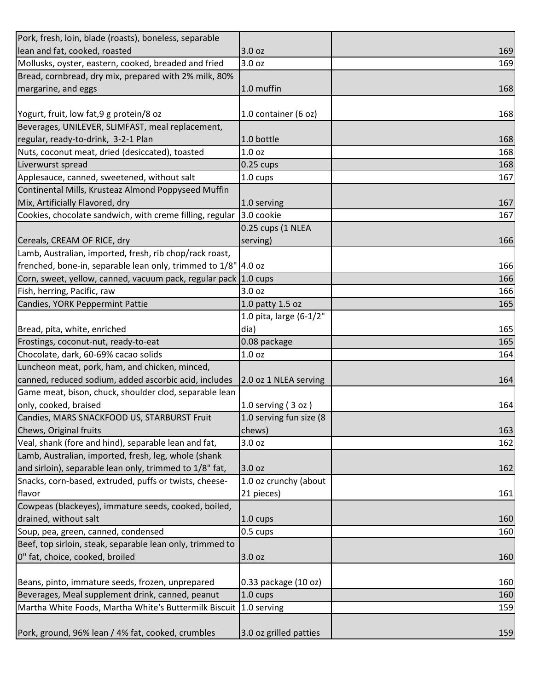| Pork, fresh, loin, blade (roasts), boneless, separable          |                         |     |
|-----------------------------------------------------------------|-------------------------|-----|
| lean and fat, cooked, roasted                                   | 3.0 oz                  | 169 |
| Mollusks, oyster, eastern, cooked, breaded and fried            | 3.0 oz                  | 169 |
| Bread, cornbread, dry mix, prepared with 2% milk, 80%           |                         |     |
| margarine, and eggs                                             | 1.0 muffin              | 168 |
|                                                                 |                         |     |
| Yogurt, fruit, low fat, 9 g protein/8 oz                        | 1.0 container (6 oz)    | 168 |
| Beverages, UNILEVER, SLIMFAST, meal replacement,                |                         |     |
| regular, ready-to-drink, 3-2-1 Plan                             | 1.0 bottle              | 168 |
| Nuts, coconut meat, dried (desiccated), toasted                 | 1.0 <sub>oz</sub>       | 168 |
| Liverwurst spread                                               | $0.25$ cups             | 168 |
| Applesauce, canned, sweetened, without salt                     | 1.0 cups                | 167 |
| Continental Mills, Krusteaz Almond Poppyseed Muffin             |                         |     |
| Mix, Artificially Flavored, dry                                 | 1.0 serving             | 167 |
| Cookies, chocolate sandwich, with creme filling, regular        | 3.0 cookie              | 167 |
|                                                                 | 0.25 cups (1 NLEA       |     |
| Cereals, CREAM OF RICE, dry                                     | serving)                | 166 |
| Lamb, Australian, imported, fresh, rib chop/rack roast,         |                         |     |
| frenched, bone-in, separable lean only, trimmed to 1/8" 4.0 oz  |                         | 166 |
| Corn, sweet, yellow, canned, vacuum pack, regular pack 1.0 cups |                         | 166 |
| Fish, herring, Pacific, raw                                     | 3.0 oz                  | 166 |
| Candies, YORK Peppermint Pattie                                 | 1.0 patty 1.5 oz        | 165 |
|                                                                 | 1.0 pita, large (6-1/2" |     |
| Bread, pita, white, enriched                                    | dia)                    | 165 |
| Frostings, coconut-nut, ready-to-eat                            | 0.08 package            | 165 |
| Chocolate, dark, 60-69% cacao solids                            | 1.0 <sub>oz</sub>       | 164 |
| Luncheon meat, pork, ham, and chicken, minced,                  |                         |     |
| canned, reduced sodium, added ascorbic acid, includes           | 2.0 oz 1 NLEA serving   | 164 |
| Game meat, bison, chuck, shoulder clod, separable lean          |                         |     |
| only, cooked, braised                                           | 1.0 serving $(3 oz)$    | 164 |
| Candies, MARS SNACKFOOD US, STARBURST Fruit                     | 1.0 serving fun size (8 |     |
| Chews, Original fruits                                          | chews)                  | 163 |
| Veal, shank (fore and hind), separable lean and fat,            | 3.0 oz                  | 162 |
| Lamb, Australian, imported, fresh, leg, whole (shank            |                         |     |
| and sirloin), separable lean only, trimmed to 1/8" fat,         | 3.0 oz                  | 162 |
| Snacks, corn-based, extruded, puffs or twists, cheese-          | 1.0 oz crunchy (about   |     |
| flavor                                                          | 21 pieces)              | 161 |
| Cowpeas (blackeyes), immature seeds, cooked, boiled,            |                         |     |
| drained, without salt                                           | 1.0 cups                | 160 |
| Soup, pea, green, canned, condensed                             | 0.5 cups                | 160 |
| Beef, top sirloin, steak, separable lean only, trimmed to       |                         |     |
| 0" fat, choice, cooked, broiled                                 | 3.0 oz                  | 160 |
|                                                                 |                         |     |
| Beans, pinto, immature seeds, frozen, unprepared                | 0.33 package (10 oz)    | 160 |
| Beverages, Meal supplement drink, canned, peanut                | 1.0 cups                | 160 |
| Martha White Foods, Martha White's Buttermilk Biscuit           | 1.0 serving             | 159 |
|                                                                 |                         |     |
| Pork, ground, 96% lean / 4% fat, cooked, crumbles               | 3.0 oz grilled patties  | 159 |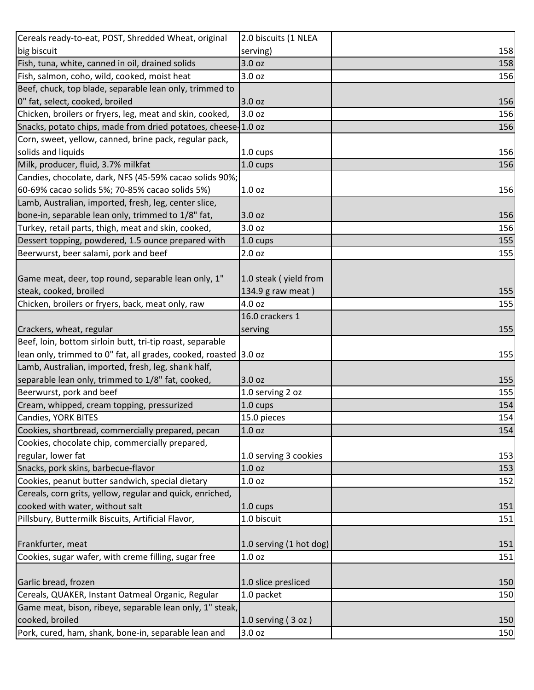| Cereals ready-to-eat, POST, Shredded Wheat, original             | 2.0 biscuits (1 NLEA    |     |
|------------------------------------------------------------------|-------------------------|-----|
| big biscuit                                                      | serving)                | 158 |
| Fish, tuna, white, canned in oil, drained solids                 | 3.0 oz                  | 158 |
| Fish, salmon, coho, wild, cooked, moist heat                     | 3.0 oz                  | 156 |
| Beef, chuck, top blade, separable lean only, trimmed to          |                         |     |
| 0" fat, select, cooked, broiled                                  | 3.0 oz                  | 156 |
| Chicken, broilers or fryers, leg, meat and skin, cooked,         | 3.0 oz                  | 156 |
| Snacks, potato chips, made from dried potatoes, cheese-1.0 oz    |                         | 156 |
| Corn, sweet, yellow, canned, brine pack, regular pack,           |                         |     |
| solids and liquids                                               | $1.0 \text{ cups}$      | 156 |
| Milk, producer, fluid, 3.7% milkfat                              | 1.0 cups                | 156 |
| Candies, chocolate, dark, NFS (45-59% cacao solids 90%;          |                         |     |
| 60-69% cacao solids 5%; 70-85% cacao solids 5%)                  | 1.0 <sub>oz</sub>       | 156 |
| Lamb, Australian, imported, fresh, leg, center slice,            |                         |     |
| bone-in, separable lean only, trimmed to 1/8" fat,               | 3.0 oz                  | 156 |
| Turkey, retail parts, thigh, meat and skin, cooked,              | 3.0 oz                  | 156 |
| Dessert topping, powdered, 1.5 ounce prepared with               | 1.0 cups                | 155 |
| Beerwurst, beer salami, pork and beef                            | 2.0 oz                  | 155 |
|                                                                  |                         |     |
| Game meat, deer, top round, separable lean only, 1"              | 1.0 steak (yield from   |     |
| steak, cooked, broiled                                           | 134.9 g raw meat)       | 155 |
| Chicken, broilers or fryers, back, meat only, raw                | 4.0 oz                  | 155 |
|                                                                  | 16.0 crackers 1         |     |
| Crackers, wheat, regular                                         | serving                 | 155 |
| Beef, loin, bottom sirloin butt, tri-tip roast, separable        |                         |     |
| lean only, trimmed to 0" fat, all grades, cooked, roasted 3.0 oz |                         | 155 |
| Lamb, Australian, imported, fresh, leg, shank half,              |                         |     |
| separable lean only, trimmed to 1/8" fat, cooked,                | 3.0 oz                  | 155 |
| Beerwurst, pork and beef                                         | 1.0 serving 2 oz        | 155 |
| Cream, whipped, cream topping, pressurized                       | 1.0 cups                | 154 |
| Candies, YORK BITES                                              | 15.0 pieces             | 154 |
| Cookies, shortbread, commercially prepared, pecan                | 1.0 <sub>oz</sub>       | 154 |
| Cookies, chocolate chip, commercially prepared,                  |                         |     |
| regular, lower fat                                               | 1.0 serving 3 cookies   | 153 |
| Snacks, pork skins, barbecue-flavor                              | 1.0 <sub>oz</sub>       | 153 |
| Cookies, peanut butter sandwich, special dietary                 | 1.0 <sub>oz</sub>       | 152 |
| Cereals, corn grits, yellow, regular and quick, enriched,        |                         |     |
| cooked with water, without salt                                  | $1.0 \text{ cups}$      | 151 |
| Pillsbury, Buttermilk Biscuits, Artificial Flavor,               | 1.0 biscuit             | 151 |
|                                                                  |                         |     |
| Frankfurter, meat                                                | 1.0 serving (1 hot dog) | 151 |
| Cookies, sugar wafer, with creme filling, sugar free             | 1.0 <sub>oz</sub>       | 151 |
|                                                                  |                         |     |
| Garlic bread, frozen                                             | 1.0 slice presliced     | 150 |
| Cereals, QUAKER, Instant Oatmeal Organic, Regular                | 1.0 packet              | 150 |
| Game meat, bison, ribeye, separable lean only, 1" steak,         |                         |     |
| cooked, broiled                                                  | $1.0$ serving (3 oz)    | 150 |
| Pork, cured, ham, shank, bone-in, separable lean and             | 3.0 oz                  | 150 |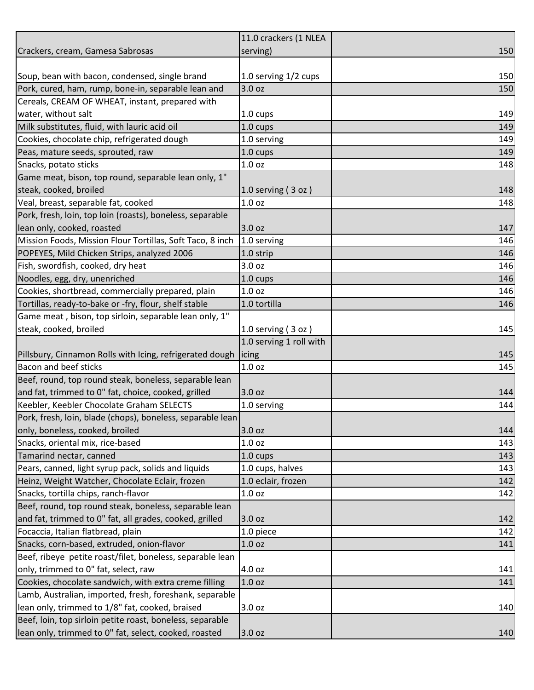|                                                            | 11.0 crackers (1 NLEA   |     |
|------------------------------------------------------------|-------------------------|-----|
| Crackers, cream, Gamesa Sabrosas                           | serving)                | 150 |
|                                                            |                         |     |
| Soup, bean with bacon, condensed, single brand             | 1.0 serving 1/2 cups    | 150 |
| Pork, cured, ham, rump, bone-in, separable lean and        | 3.0 oz                  | 150 |
| Cereals, CREAM OF WHEAT, instant, prepared with            |                         |     |
| water, without salt                                        | 1.0 cups                | 149 |
| Milk substitutes, fluid, with lauric acid oil              | 1.0 cups                | 149 |
| Cookies, chocolate chip, refrigerated dough                | 1.0 serving             | 149 |
| Peas, mature seeds, sprouted, raw                          | 1.0 cups                | 149 |
| Snacks, potato sticks                                      | 1.0 <sub>oz</sub>       | 148 |
| Game meat, bison, top round, separable lean only, 1"       |                         |     |
| steak, cooked, broiled                                     | $1.0$ serving $(3$ oz)  | 148 |
| Veal, breast, separable fat, cooked                        | 1.0 <sub>oz</sub>       | 148 |
| Pork, fresh, loin, top loin (roasts), boneless, separable  |                         |     |
| lean only, cooked, roasted                                 | 3.0 oz                  | 147 |
| Mission Foods, Mission Flour Tortillas, Soft Taco, 8 inch  | 1.0 serving             | 146 |
| POPEYES, Mild Chicken Strips, analyzed 2006                | 1.0 strip               | 146 |
| Fish, swordfish, cooked, dry heat                          | 3.0 oz                  | 146 |
| Noodles, egg, dry, unenriched                              | 1.0 cups                | 146 |
| Cookies, shortbread, commercially prepared, plain          | 1.0 <sub>oz</sub>       | 146 |
| Tortillas, ready-to-bake or -fry, flour, shelf stable      | 1.0 tortilla            | 146 |
| Game meat, bison, top sirloin, separable lean only, 1"     |                         |     |
| steak, cooked, broiled                                     | $1.0$ serving (3 oz)    | 145 |
|                                                            | 1.0 serving 1 roll with |     |
| Pillsbury, Cinnamon Rolls with Icing, refrigerated dough   | licing                  | 145 |
| <b>Bacon and beef sticks</b>                               | 1.0 <sub>oz</sub>       | 145 |
| Beef, round, top round steak, boneless, separable lean     |                         |     |
| and fat, trimmed to 0" fat, choice, cooked, grilled        | 3.0 oz                  | 144 |
| Keebler, Keebler Chocolate Graham SELECTS                  | 1.0 serving             | 144 |
| Pork, fresh, loin, blade (chops), boneless, separable lean |                         |     |
| only, boneless, cooked, broiled                            | 3.0 oz                  | 144 |
| Snacks, oriental mix, rice-based                           | 1.0 <sub>oz</sub>       | 143 |
| Tamarind nectar, canned                                    | 1.0 cups                | 143 |
| Pears, canned, light syrup pack, solids and liquids        | 1.0 cups, halves        | 143 |
| Heinz, Weight Watcher, Chocolate Eclair, frozen            | 1.0 eclair, frozen      | 142 |
| Snacks, tortilla chips, ranch-flavor                       | 1.0 <sub>oz</sub>       | 142 |
| Beef, round, top round steak, boneless, separable lean     |                         |     |
| and fat, trimmed to 0" fat, all grades, cooked, grilled    | 3.0 oz                  | 142 |
| Focaccia, Italian flatbread, plain                         | 1.0 piece               | 142 |
| Snacks, corn-based, extruded, onion-flavor                 | 1.0 <sub>oz</sub>       | 141 |
| Beef, ribeye petite roast/filet, boneless, separable lean  |                         |     |
| only, trimmed to 0" fat, select, raw                       | 4.0 oz                  | 141 |
| Cookies, chocolate sandwich, with extra creme filling      | 1.0 <sub>oz</sub>       | 141 |
| Lamb, Australian, imported, fresh, foreshank, separable    |                         |     |
| lean only, trimmed to 1/8" fat, cooked, braised            | 3.0 oz                  | 140 |
| Beef, loin, top sirloin petite roast, boneless, separable  |                         |     |
| lean only, trimmed to 0" fat, select, cooked, roasted      | 3.0 oz                  | 140 |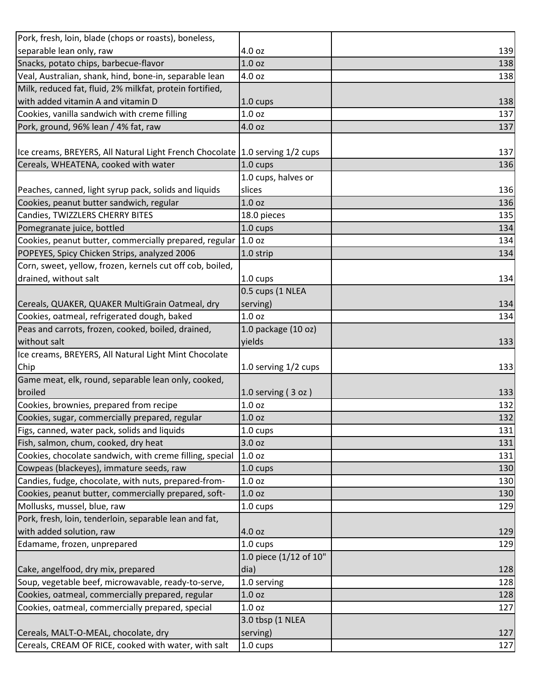| Pork, fresh, loin, blade (chops or roasts), boneless,                          |                        |     |
|--------------------------------------------------------------------------------|------------------------|-----|
| separable lean only, raw                                                       | 4.0 oz                 | 139 |
| Snacks, potato chips, barbecue-flavor                                          | 1.0 <sub>oz</sub>      | 138 |
| Veal, Australian, shank, hind, bone-in, separable lean                         | 4.0 oz                 | 138 |
| Milk, reduced fat, fluid, 2% milkfat, protein fortified,                       |                        |     |
| with added vitamin A and vitamin D                                             | 1.0 cups               | 138 |
| Cookies, vanilla sandwich with creme filling                                   | 1.0 <sub>oz</sub>      | 137 |
| Pork, ground, 96% lean / 4% fat, raw                                           | 4.0 oz                 | 137 |
|                                                                                |                        |     |
| Ice creams, BREYERS, All Natural Light French Chocolate   1.0 serving 1/2 cups |                        | 137 |
| Cereals, WHEATENA, cooked with water                                           | 1.0 cups               | 136 |
|                                                                                | 1.0 cups, halves or    |     |
| Peaches, canned, light syrup pack, solids and liquids                          | slices                 | 136 |
| Cookies, peanut butter sandwich, regular                                       | 1.0 <sub>oz</sub>      | 136 |
| Candies, TWIZZLERS CHERRY BITES                                                | 18.0 pieces            | 135 |
| Pomegranate juice, bottled                                                     | 1.0 cups               | 134 |
| Cookies, peanut butter, commercially prepared, regular                         | 1.0 oz                 | 134 |
| POPEYES, Spicy Chicken Strips, analyzed 2006                                   | 1.0 strip              | 134 |
| Corn, sweet, yellow, frozen, kernels cut off cob, boiled,                      |                        |     |
| drained, without salt                                                          | $1.0 \text{ cups}$     | 134 |
|                                                                                | 0.5 cups (1 NLEA       |     |
| Cereals, QUAKER, QUAKER MultiGrain Oatmeal, dry                                | serving)               | 134 |
| Cookies, oatmeal, refrigerated dough, baked                                    | 1.0 <sub>oz</sub>      | 134 |
| Peas and carrots, frozen, cooked, boiled, drained,                             | 1.0 package (10 oz)    |     |
| without salt                                                                   | yields                 | 133 |
| Ice creams, BREYERS, All Natural Light Mint Chocolate                          |                        |     |
| Chip                                                                           | 1.0 serving 1/2 cups   | 133 |
| Game meat, elk, round, separable lean only, cooked,                            |                        |     |
| broiled                                                                        | 1.0 serving $(3 oz)$   | 133 |
| Cookies, brownies, prepared from recipe                                        | 1.0 <sub>oz</sub>      | 132 |
| Cookies, sugar, commercially prepared, regular                                 | 1.0 <sub>oz</sub>      | 132 |
| Figs, canned, water pack, solids and liquids                                   | 1.0 cups               | 131 |
| Fish, salmon, chum, cooked, dry heat                                           | 3.0 oz                 | 131 |
| Cookies, chocolate sandwich, with creme filling, special                       | 1.0 <sub>oz</sub>      | 131 |
| Cowpeas (blackeyes), immature seeds, raw                                       | 1.0 cups               | 130 |
| Candies, fudge, chocolate, with nuts, prepared-from-                           | 1.0 <sub>oz</sub>      | 130 |
| Cookies, peanut butter, commercially prepared, soft-                           | 1.0 <sub>oz</sub>      | 130 |
| Mollusks, mussel, blue, raw                                                    | 1.0 cups               | 129 |
| Pork, fresh, loin, tenderloin, separable lean and fat,                         |                        |     |
| with added solution, raw                                                       | 4.0 oz                 | 129 |
| Edamame, frozen, unprepared                                                    | $1.0 \text{ cups}$     | 129 |
|                                                                                | 1.0 piece (1/12 of 10" |     |
| Cake, angelfood, dry mix, prepared                                             | dia)                   | 128 |
| Soup, vegetable beef, microwavable, ready-to-serve,                            | 1.0 serving            | 128 |
| Cookies, oatmeal, commercially prepared, regular                               | 1.0 oz                 | 128 |
| Cookies, oatmeal, commercially prepared, special                               | 1.0 <sub>oz</sub>      | 127 |
|                                                                                | 3.0 tbsp (1 NLEA       |     |
| Cereals, MALT-O-MEAL, chocolate, dry                                           | serving)               | 127 |
| Cereals, CREAM OF RICE, cooked with water, with salt                           | 1.0 cups               | 127 |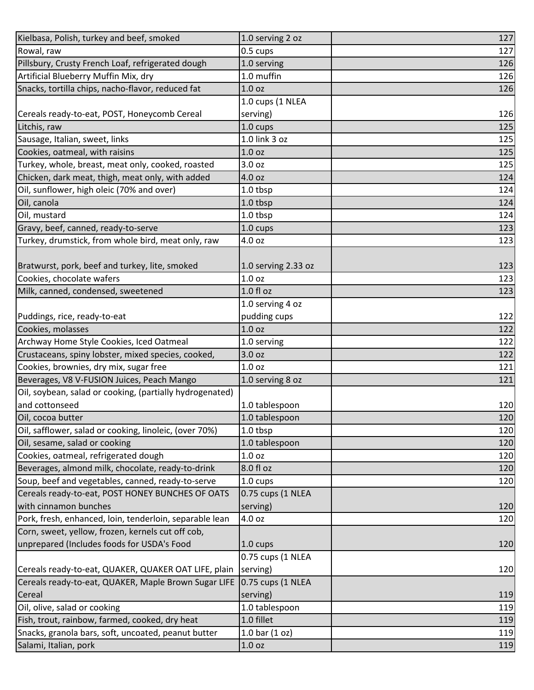| Kielbasa, Polish, turkey and beef, smoked                | 1.0 serving 2 oz    | 127 |
|----------------------------------------------------------|---------------------|-----|
| Rowal, raw                                               | 0.5 cups            | 127 |
| Pillsbury, Crusty French Loaf, refrigerated dough        | 1.0 serving         | 126 |
| Artificial Blueberry Muffin Mix, dry                     | 1.0 muffin          | 126 |
| Snacks, tortilla chips, nacho-flavor, reduced fat        | 1.0 <sub>oz</sub>   | 126 |
|                                                          | 1.0 cups (1 NLEA    |     |
| Cereals ready-to-eat, POST, Honeycomb Cereal             | serving)            | 126 |
| Litchis, raw                                             | 1.0 cups            | 125 |
| Sausage, Italian, sweet, links                           | 1.0 link 3 oz       | 125 |
| Cookies, oatmeal, with raisins                           | 1.0 <sub>oz</sub>   | 125 |
| Turkey, whole, breast, meat only, cooked, roasted        | 3.0 oz              | 125 |
| Chicken, dark meat, thigh, meat only, with added         | 4.0 oz              | 124 |
| Oil, sunflower, high oleic (70% and over)                | 1.0 tbsp            | 124 |
| Oil, canola                                              | 1.0 tbsp            | 124 |
| Oil, mustard                                             | 1.0 tbsp            | 124 |
| Gravy, beef, canned, ready-to-serve                      | 1.0 cups            | 123 |
| Turkey, drumstick, from whole bird, meat only, raw       | 4.0 oz              | 123 |
|                                                          |                     |     |
| Bratwurst, pork, beef and turkey, lite, smoked           | 1.0 serving 2.33 oz | 123 |
| Cookies, chocolate wafers                                | 1.0 oz              | 123 |
| Milk, canned, condensed, sweetened                       | 1.0 fl oz           | 123 |
|                                                          | 1.0 serving 4 oz    |     |
| Puddings, rice, ready-to-eat                             | pudding cups        | 122 |
| Cookies, molasses                                        | 1.0 <sub>oz</sub>   | 122 |
| Archway Home Style Cookies, Iced Oatmeal                 | 1.0 serving         | 122 |
| Crustaceans, spiny lobster, mixed species, cooked,       | 3.0 oz              | 122 |
| Cookies, brownies, dry mix, sugar free                   | 1.0 <sub>oz</sub>   | 121 |
| Beverages, V8 V-FUSION Juices, Peach Mango               | 1.0 serving 8 oz    | 121 |
| Oil, soybean, salad or cooking, (partially hydrogenated) |                     |     |
| and cottonseed                                           | 1.0 tablespoon      | 120 |
| Oil, cocoa butter                                        | 1.0 tablespoon      | 120 |
| Oil, safflower, salad or cooking, linoleic, (over 70%)   | 1.0 tbsp            | 120 |
| Oil, sesame, salad or cooking                            | 1.0 tablespoon      | 120 |
| Cookies, oatmeal, refrigerated dough                     | 1.0 <sub>oz</sub>   | 120 |
| Beverages, almond milk, chocolate, ready-to-drink        | 8.0 fl oz           | 120 |
| Soup, beef and vegetables, canned, ready-to-serve        | 1.0 cups            | 120 |
| Cereals ready-to-eat, POST HONEY BUNCHES OF OATS         | 0.75 cups (1 NLEA   |     |
| with cinnamon bunches                                    | serving)            | 120 |
| Pork, fresh, enhanced, loin, tenderloin, separable lean  | 4.0 oz              | 120 |
| Corn, sweet, yellow, frozen, kernels cut off cob,        |                     |     |
| unprepared (Includes foods for USDA's Food               | 1.0 cups            | 120 |
|                                                          | 0.75 cups (1 NLEA   |     |
| Cereals ready-to-eat, QUAKER, QUAKER OAT LIFE, plain     | serving)            | 120 |
| Cereals ready-to-eat, QUAKER, Maple Brown Sugar LIFE     | 0.75 cups (1 NLEA   |     |
| Cereal                                                   | serving)            | 119 |
| Oil, olive, salad or cooking                             | 1.0 tablespoon      | 119 |
| Fish, trout, rainbow, farmed, cooked, dry heat           | 1.0 fillet          | 119 |
| Snacks, granola bars, soft, uncoated, peanut butter      | $1.0$ bar $(1$ oz)  | 119 |
| Salami, Italian, pork                                    | 1.0 oz              | 119 |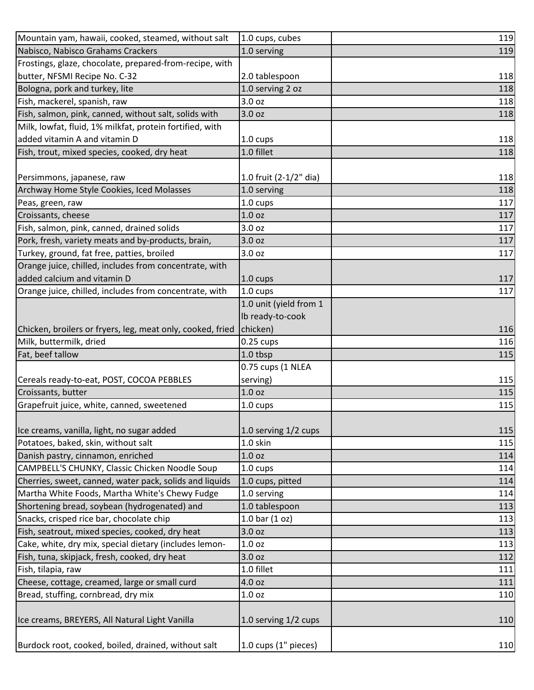| Mountain yam, hawaii, cooked, steamed, without salt        | 1.0 cups, cubes        | 119 |
|------------------------------------------------------------|------------------------|-----|
| Nabisco, Nabisco Grahams Crackers                          | 1.0 serving            | 119 |
| Frostings, glaze, chocolate, prepared-from-recipe, with    |                        |     |
| butter, NFSMI Recipe No. C-32                              | 2.0 tablespoon         | 118 |
| Bologna, pork and turkey, lite                             | 1.0 serving 2 oz       | 118 |
| Fish, mackerel, spanish, raw                               | 3.0 oz                 | 118 |
| Fish, salmon, pink, canned, without salt, solids with      | 3.0 <sub>oz</sub>      | 118 |
| Milk, lowfat, fluid, 1% milkfat, protein fortified, with   |                        |     |
| added vitamin A and vitamin D                              | 1.0 cups               | 118 |
| Fish, trout, mixed species, cooked, dry heat               | 1.0 fillet             | 118 |
|                                                            |                        |     |
| Persimmons, japanese, raw                                  | 1.0 fruit (2-1/2" dia) | 118 |
| Archway Home Style Cookies, Iced Molasses                  | 1.0 serving            | 118 |
| Peas, green, raw                                           | 1.0 cups               | 117 |
| Croissants, cheese                                         | 1.0 <sub>oz</sub>      | 117 |
| Fish, salmon, pink, canned, drained solids                 | 3.0 <sub>oz</sub>      | 117 |
| Pork, fresh, variety meats and by-products, brain,         | 3.0 oz                 | 117 |
| Turkey, ground, fat free, patties, broiled                 | 3.0 oz                 | 117 |
| Orange juice, chilled, includes from concentrate, with     |                        |     |
| added calcium and vitamin D                                | 1.0 cups               | 117 |
| Orange juice, chilled, includes from concentrate, with     | 1.0 cups               | 117 |
|                                                            | 1.0 unit (yield from 1 |     |
|                                                            | Ib ready-to-cook       |     |
| Chicken, broilers or fryers, leg, meat only, cooked, fried | chicken)               | 116 |
| Milk, buttermilk, dried                                    | $0.25$ cups            | 116 |
| Fat, beef tallow                                           | 1.0 tbsp               | 115 |
|                                                            | 0.75 cups (1 NLEA      |     |
| Cereals ready-to-eat, POST, COCOA PEBBLES                  | serving)               | 115 |
| Croissants, butter                                         | 1.0 <sub>oz</sub>      | 115 |
| Grapefruit juice, white, canned, sweetened                 | 1.0 cups               | 115 |
|                                                            |                        |     |
| Ice creams, vanilla, light, no sugar added                 | 1.0 serving 1/2 cups   | 115 |
| Potatoes, baked, skin, without salt                        | 1.0 skin               | 115 |
| Danish pastry, cinnamon, enriched                          | 1.0 <sub>oz</sub>      | 114 |
| CAMPBELL'S CHUNKY, Classic Chicken Noodle Soup             | 1.0 cups               | 114 |
| Cherries, sweet, canned, water pack, solids and liquids    | 1.0 cups, pitted       | 114 |
| Martha White Foods, Martha White's Chewy Fudge             | 1.0 serving            | 114 |
| Shortening bread, soybean (hydrogenated) and               | 1.0 tablespoon         | 113 |
| Snacks, crisped rice bar, chocolate chip                   | 1.0 bar $(1 oz)$       | 113 |
| Fish, seatrout, mixed species, cooked, dry heat            | 3.0 oz                 | 113 |
| Cake, white, dry mix, special dietary (includes lemon-     | 1.0 <sub>oz</sub>      | 113 |
| Fish, tuna, skipjack, fresh, cooked, dry heat              | 3.0 oz                 | 112 |
| Fish, tilapia, raw                                         | 1.0 fillet             | 111 |
| Cheese, cottage, creamed, large or small curd              | 4.0 oz                 | 111 |
| Bread, stuffing, cornbread, dry mix                        | 1.0 oz                 | 110 |
| Ice creams, BREYERS, All Natural Light Vanilla             | 1.0 serving 1/2 cups   | 110 |
| Burdock root, cooked, boiled, drained, without salt        | 1.0 cups (1" pieces)   | 110 |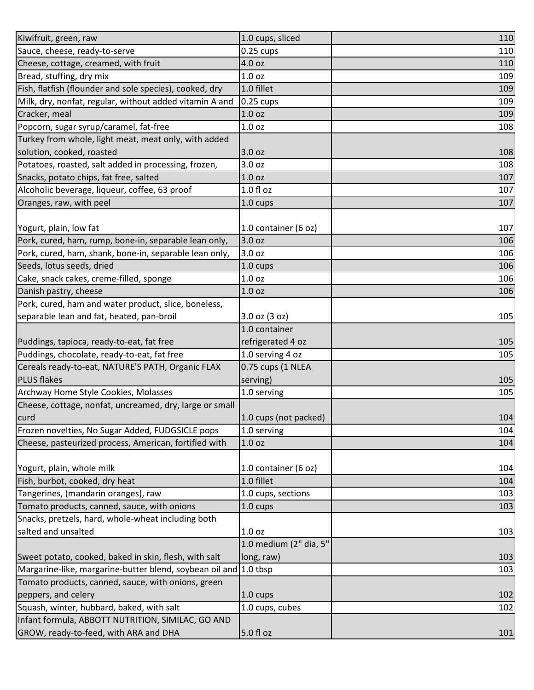| Kiwifruit, green, raw                                            | 1.0 cups, sliced       | 110 |
|------------------------------------------------------------------|------------------------|-----|
| Sauce, cheese, ready-to-serve                                    | $0.25$ cups            | 110 |
| Cheese, cottage, creamed, with fruit                             | 4.0 oz                 | 110 |
| Bread, stuffing, dry mix                                         | 1.0 <sub>oz</sub>      | 109 |
| Fish, flatfish (flounder and sole species), cooked, dry          | 1.0 fillet             | 109 |
| Milk, dry, nonfat, regular, without added vitamin A and          | $0.25 \text{ cups}$    | 109 |
| Cracker, meal                                                    | 1.0 oz                 | 109 |
| Popcorn, sugar syrup/caramel, fat-free                           | 1.0 <sub>oz</sub>      | 108 |
| Turkey from whole, light meat, meat only, with added             |                        |     |
| solution, cooked, roasted                                        | 3.0 oz                 | 108 |
| Potatoes, roasted, salt added in processing, frozen,             | 3.0 oz                 | 108 |
| Snacks, potato chips, fat free, salted                           | 1.0 <sub>oz</sub>      | 107 |
| Alcoholic beverage, liqueur, coffee, 63 proof                    | $1.0 f$ l oz           | 107 |
| Oranges, raw, with peel                                          | 1.0 cups               | 107 |
|                                                                  |                        |     |
| Yogurt, plain, low fat                                           | 1.0 container (6 oz)   | 107 |
| Pork, cured, ham, rump, bone-in, separable lean only,            | 3.0 oz                 | 106 |
| Pork, cured, ham, shank, bone-in, separable lean only,           | 3.0 oz                 | 106 |
| Seeds, lotus seeds, dried                                        | 1.0 cups               | 106 |
| Cake, snack cakes, creme-filled, sponge                          | 1.0 <sub>oz</sub>      | 106 |
| Danish pastry, cheese                                            | 1.0 <sub>oz</sub>      | 106 |
| Pork, cured, ham and water product, slice, boneless,             |                        |     |
| separable lean and fat, heated, pan-broil                        | 3.0 oz (3 oz)          | 105 |
|                                                                  | 1.0 container          |     |
| Puddings, tapioca, ready-to-eat, fat free                        | refrigerated 4 oz      | 105 |
| Puddings, chocolate, ready-to-eat, fat free                      | 1.0 serving 4 oz       | 105 |
| Cereals ready-to-eat, NATURE'S PATH, Organic FLAX                | 0.75 cups (1 NLEA      |     |
| <b>PLUS flakes</b>                                               | serving)               | 105 |
| Archway Home Style Cookies, Molasses                             | 1.0 serving            | 105 |
| Cheese, cottage, nonfat, uncreamed, dry, large or small          |                        |     |
| curd                                                             | 1.0 cups (not packed)  | 104 |
| Frozen novelties, No Sugar Added, FUDGSICLE pops                 | 1.0 serving            | 104 |
| Cheese, pasteurized process, American, fortified with            | 1.0 <sub>oz</sub>      | 104 |
|                                                                  |                        |     |
| Yogurt, plain, whole milk                                        | 1.0 container (6 oz)   | 104 |
| Fish, burbot, cooked, dry heat                                   | 1.0 fillet             | 104 |
| Tangerines, (mandarin oranges), raw                              | 1.0 cups, sections     | 103 |
| Tomato products, canned, sauce, with onions                      | 1.0 cups               | 103 |
| Snacks, pretzels, hard, whole-wheat including both               |                        |     |
| salted and unsalted                                              | 1.0 <sub>oz</sub>      | 103 |
|                                                                  | 1.0 medium (2" dia, 5" |     |
| Sweet potato, cooked, baked in skin, flesh, with salt            | long, raw)             | 103 |
| Margarine-like, margarine-butter blend, soybean oil and 1.0 tbsp |                        | 103 |
| Tomato products, canned, sauce, with onions, green               |                        |     |
| peppers, and celery                                              | 1.0 cups               | 102 |
| Squash, winter, hubbard, baked, with salt                        | 1.0 cups, cubes        | 102 |
| Infant formula, ABBOTT NUTRITION, SIMILAC, GO AND                |                        |     |
| GROW, ready-to-feed, with ARA and DHA                            | 5.0 fl oz              | 101 |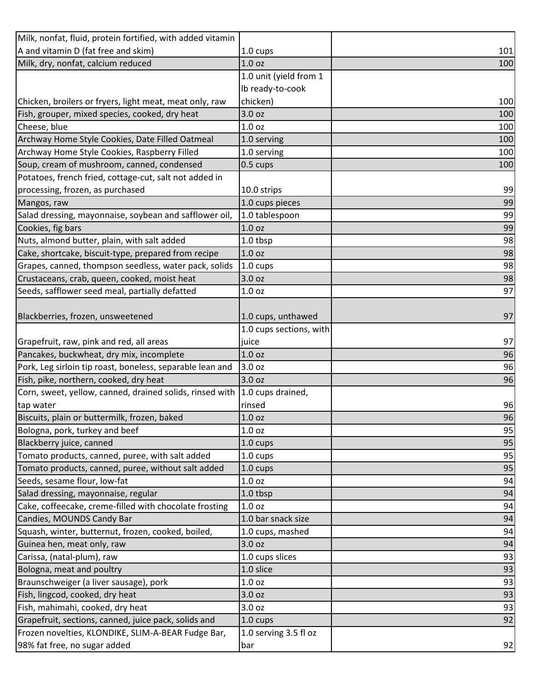| Milk, nonfat, fluid, protein fortified, with added vitamin |                         |     |
|------------------------------------------------------------|-------------------------|-----|
| A and vitamin D (fat free and skim)                        | 1.0 cups                | 101 |
| Milk, dry, nonfat, calcium reduced                         | 1.0 <sub>oz</sub>       | 100 |
|                                                            | 1.0 unit (yield from 1  |     |
|                                                            | Ib ready-to-cook        |     |
| Chicken, broilers or fryers, light meat, meat only, raw    | chicken)                | 100 |
| Fish, grouper, mixed species, cooked, dry heat             | 3.0 <sub>oz</sub>       | 100 |
| Cheese, blue                                               | 1.0 <sub>oz</sub>       | 100 |
| Archway Home Style Cookies, Date Filled Oatmeal            | 1.0 serving             | 100 |
| Archway Home Style Cookies, Raspberry Filled               | 1.0 serving             | 100 |
| Soup, cream of mushroom, canned, condensed                 | 0.5 cups                | 100 |
| Potatoes, french fried, cottage-cut, salt not added in     |                         |     |
| processing, frozen, as purchased                           | 10.0 strips             | 99  |
| Mangos, raw                                                | 1.0 cups pieces         | 99  |
| Salad dressing, mayonnaise, soybean and safflower oil,     | 1.0 tablespoon          | 99  |
| Cookies, fig bars                                          | 1.0 <sub>oz</sub>       | 99  |
| Nuts, almond butter, plain, with salt added                | 1.0 tbsp                | 98  |
| Cake, shortcake, biscuit-type, prepared from recipe        | 1.0 <sub>oz</sub>       | 98  |
| Grapes, canned, thompson seedless, water pack, solids      | 1.0 cups                | 98  |
| Crustaceans, crab, queen, cooked, moist heat               | 3.0 oz                  | 98  |
| Seeds, safflower seed meal, partially defatted             | 1.0 oz                  | 97  |
|                                                            |                         |     |
| Blackberries, frozen, unsweetened                          | 1.0 cups, unthawed      | 97  |
|                                                            | 1.0 cups sections, with |     |
| Grapefruit, raw, pink and red, all areas                   | juice                   | 97  |
| Pancakes, buckwheat, dry mix, incomplete                   | 1.0 <sub>oz</sub>       | 96  |
| Pork, Leg sirloin tip roast, boneless, separable lean and  | 3.0 oz                  | 96  |
| Fish, pike, northern, cooked, dry heat                     | 3.0 oz                  | 96  |
| Corn, sweet, yellow, canned, drained solids, rinsed with   | 1.0 cups drained,       |     |
| tap water                                                  | rinsed                  | 96  |
| Biscuits, plain or buttermilk, frozen, baked               | 1.0 <sub>oz</sub>       | 96  |
| Bologna, pork, turkey and beef                             | 1.0 oz                  | 95  |
| Blackberry juice, canned                                   | 1.0 cups                | 95  |
| Tomato products, canned, puree, with salt added            | 1.0 cups                | 95  |
| Tomato products, canned, puree, without salt added         | 1.0 cups                | 95  |
| Seeds, sesame flour, low-fat                               | 1.0 <sub>oz</sub>       | 94  |
| Salad dressing, mayonnaise, regular                        | 1.0 tbsp                | 94  |
| Cake, coffeecake, creme-filled with chocolate frosting     | 1.0 <sub>oz</sub>       | 94  |
| Candies, MOUNDS Candy Bar                                  | 1.0 bar snack size      | 94  |
| Squash, winter, butternut, frozen, cooked, boiled,         | 1.0 cups, mashed        | 94  |
| Guinea hen, meat only, raw                                 | 3.0 <sub>oz</sub>       | 94  |
| Carissa, (natal-plum), raw                                 | 1.0 cups slices         | 93  |
| Bologna, meat and poultry                                  | 1.0 slice               | 93  |
| Braunschweiger (a liver sausage), pork                     | 1.0 <sub>oz</sub>       | 93  |
| Fish, lingcod, cooked, dry heat                            | 3.0 <sub>oz</sub>       | 93  |
| Fish, mahimahi, cooked, dry heat                           | 3.0 oz                  | 93  |
| Grapefruit, sections, canned, juice pack, solids and       | 1.0 cups                | 92  |
| Frozen novelties, KLONDIKE, SLIM-A-BEAR Fudge Bar,         | 1.0 serving 3.5 fl oz   |     |
| 98% fat free, no sugar added                               | bar                     | 92  |
|                                                            |                         |     |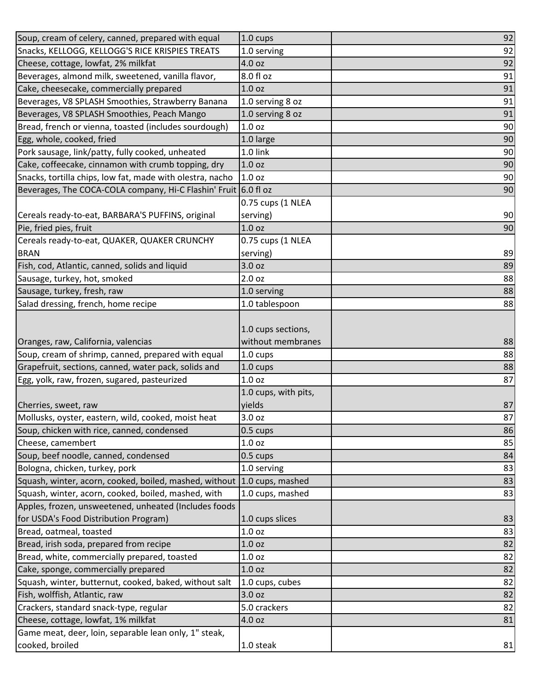| Soup, cream of celery, canned, prepared with equal              | 1.0 cups                                | 92 |
|-----------------------------------------------------------------|-----------------------------------------|----|
| Snacks, KELLOGG, KELLOGG'S RICE KRISPIES TREATS                 | 1.0 serving                             | 92 |
| Cheese, cottage, lowfat, 2% milkfat                             | 4.0 oz                                  | 92 |
| Beverages, almond milk, sweetened, vanilla flavor,              | 8.0 fl oz                               | 91 |
| Cake, cheesecake, commercially prepared                         | 1.0 <sub>oz</sub>                       | 91 |
| Beverages, V8 SPLASH Smoothies, Strawberry Banana               | 1.0 serving 8 oz                        | 91 |
| Beverages, V8 SPLASH Smoothies, Peach Mango                     | 1.0 serving 8 oz                        | 91 |
| Bread, french or vienna, toasted (includes sourdough)           | 1.0 oz                                  | 90 |
| Egg, whole, cooked, fried                                       | 1.0 large                               | 90 |
| Pork sausage, link/patty, fully cooked, unheated                | 1.0 link                                | 90 |
| Cake, coffeecake, cinnamon with crumb topping, dry              | 1.0 <sub>oz</sub>                       | 90 |
| Snacks, tortilla chips, low fat, made with olestra, nacho       | 1.0 <sub>oz</sub>                       | 90 |
| Beverages, The COCA-COLA company, Hi-C Flashin' Fruit 6.0 fl oz |                                         | 90 |
|                                                                 | 0.75 cups (1 NLEA                       |    |
| Cereals ready-to-eat, BARBARA'S PUFFINS, original               | serving)                                | 90 |
| Pie, fried pies, fruit                                          | 1.0 <sub>oz</sub>                       | 90 |
| Cereals ready-to-eat, QUAKER, QUAKER CRUNCHY                    | 0.75 cups (1 NLEA                       |    |
| <b>BRAN</b>                                                     | serving)                                | 89 |
| Fish, cod, Atlantic, canned, solids and liquid                  | 3.0 <sub>oz</sub>                       | 89 |
| Sausage, turkey, hot, smoked                                    | 2.0 <sub>oz</sub>                       | 88 |
| Sausage, turkey, fresh, raw                                     | 1.0 serving                             | 88 |
| Salad dressing, french, home recipe                             | 1.0 tablespoon                          | 88 |
| Oranges, raw, California, valencias                             | 1.0 cups sections,<br>without membranes | 88 |
| Soup, cream of shrimp, canned, prepared with equal              | 1.0 cups                                | 88 |
| Grapefruit, sections, canned, water pack, solids and            | 1.0 cups                                | 88 |
| Egg, yolk, raw, frozen, sugared, pasteurized                    | 1.0 <sub>oz</sub>                       | 87 |
|                                                                 | 1.0 cups, with pits,                    |    |
| Cherries, sweet, raw                                            | yields                                  | 87 |
| Mollusks, oyster, eastern, wild, cooked, moist heat             | 3.0 oz                                  | 87 |
| Soup, chicken with rice, canned, condensed                      | 0.5 cups                                | 86 |
| Cheese, camembert                                               | 1.0 oz                                  | 85 |
| Soup, beef noodle, canned, condensed                            | 0.5 cups                                | 84 |
| Bologna, chicken, turkey, pork                                  | 1.0 serving                             | 83 |
| Squash, winter, acorn, cooked, boiled, mashed, without          | 1.0 cups, mashed                        | 83 |
| Squash, winter, acorn, cooked, boiled, mashed, with             | 1.0 cups, mashed                        | 83 |
| Apples, frozen, unsweetened, unheated (Includes foods           |                                         |    |
| for USDA's Food Distribution Program)                           | 1.0 cups slices                         | 83 |
| Bread, oatmeal, toasted                                         | 1.0 <sub>oz</sub>                       | 83 |
| Bread, irish soda, prepared from recipe                         | 1.0 <sub>oz</sub>                       | 82 |
| Bread, white, commercially prepared, toasted                    | 1.0 oz                                  | 82 |
| Cake, sponge, commercially prepared                             | 1.0 <sub>oz</sub>                       | 82 |
| Squash, winter, butternut, cooked, baked, without salt          | 1.0 cups, cubes                         | 82 |
| Fish, wolffish, Atlantic, raw                                   | 3.0 oz                                  | 82 |
| Crackers, standard snack-type, regular                          | 5.0 crackers                            | 82 |
| Cheese, cottage, lowfat, 1% milkfat                             | 4.0 oz                                  | 81 |
| Game meat, deer, loin, separable lean only, 1" steak,           |                                         |    |
| cooked, broiled                                                 | 1.0 steak                               | 81 |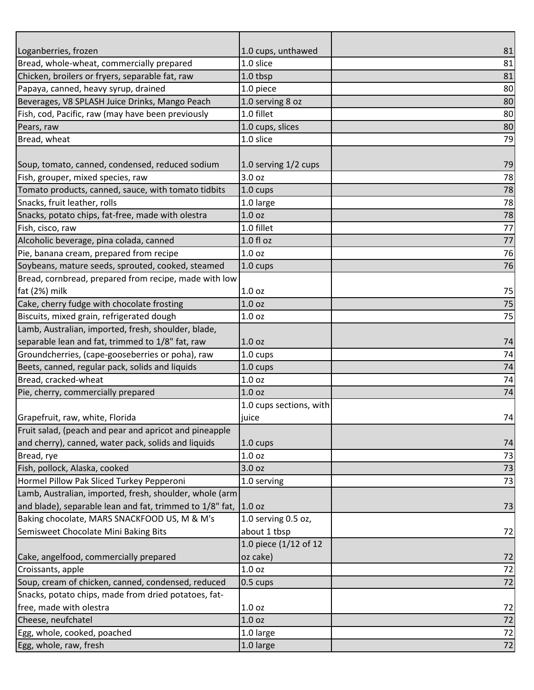| Bread, whole-wheat, commercially prepared<br>1.0 slice<br>81<br>Chicken, broilers or fryers, separable fat, raw<br>81<br>1.0 tbsp<br>Papaya, canned, heavy syrup, drained<br>1.0 piece<br>80<br>Beverages, V8 SPLASH Juice Drinks, Mango Peach<br>80<br>1.0 serving 8 oz<br>1.0 fillet<br>Fish, cod, Pacific, raw (may have been previously<br>80<br>1.0 cups, slices<br>80<br>Pears, raw<br>1.0 slice<br>79<br>Bread, wheat<br>1.0 serving 1/2 cups<br>79<br>Soup, tomato, canned, condensed, reduced sodium<br>Fish, grouper, mixed species, raw<br>3.0 oz<br>78<br>Tomato products, canned, sauce, with tomato tidbits<br>78<br>1.0 cups<br>78<br>Snacks, fruit leather, rolls<br>1.0 large<br>Snacks, potato chips, fat-free, made with olestra<br>78<br>1.0 <sub>oz</sub><br>77<br>1.0 fillet<br>Fish, cisco, raw<br>77<br>Alcoholic beverage, pina colada, canned<br>1.0 fl oz<br>76<br>Pie, banana cream, prepared from recipe<br>1.0 <sub>oz</sub><br>Soybeans, mature seeds, sprouted, cooked, steamed<br>76<br>1.0 cups<br>Bread, cornbread, prepared from recipe, made with low<br>fat (2%) milk<br>1.0 <sub>oz</sub><br>75 |                                            |                    |    |
|----------------------------------------------------------------------------------------------------------------------------------------------------------------------------------------------------------------------------------------------------------------------------------------------------------------------------------------------------------------------------------------------------------------------------------------------------------------------------------------------------------------------------------------------------------------------------------------------------------------------------------------------------------------------------------------------------------------------------------------------------------------------------------------------------------------------------------------------------------------------------------------------------------------------------------------------------------------------------------------------------------------------------------------------------------------------------------------------------------------------------------------|--------------------------------------------|--------------------|----|
|                                                                                                                                                                                                                                                                                                                                                                                                                                                                                                                                                                                                                                                                                                                                                                                                                                                                                                                                                                                                                                                                                                                                        | Loganberries, frozen                       | 1.0 cups, unthawed | 81 |
|                                                                                                                                                                                                                                                                                                                                                                                                                                                                                                                                                                                                                                                                                                                                                                                                                                                                                                                                                                                                                                                                                                                                        |                                            |                    |    |
|                                                                                                                                                                                                                                                                                                                                                                                                                                                                                                                                                                                                                                                                                                                                                                                                                                                                                                                                                                                                                                                                                                                                        |                                            |                    |    |
|                                                                                                                                                                                                                                                                                                                                                                                                                                                                                                                                                                                                                                                                                                                                                                                                                                                                                                                                                                                                                                                                                                                                        |                                            |                    |    |
|                                                                                                                                                                                                                                                                                                                                                                                                                                                                                                                                                                                                                                                                                                                                                                                                                                                                                                                                                                                                                                                                                                                                        |                                            |                    |    |
|                                                                                                                                                                                                                                                                                                                                                                                                                                                                                                                                                                                                                                                                                                                                                                                                                                                                                                                                                                                                                                                                                                                                        |                                            |                    |    |
|                                                                                                                                                                                                                                                                                                                                                                                                                                                                                                                                                                                                                                                                                                                                                                                                                                                                                                                                                                                                                                                                                                                                        |                                            |                    |    |
|                                                                                                                                                                                                                                                                                                                                                                                                                                                                                                                                                                                                                                                                                                                                                                                                                                                                                                                                                                                                                                                                                                                                        |                                            |                    |    |
|                                                                                                                                                                                                                                                                                                                                                                                                                                                                                                                                                                                                                                                                                                                                                                                                                                                                                                                                                                                                                                                                                                                                        |                                            |                    |    |
|                                                                                                                                                                                                                                                                                                                                                                                                                                                                                                                                                                                                                                                                                                                                                                                                                                                                                                                                                                                                                                                                                                                                        |                                            |                    |    |
|                                                                                                                                                                                                                                                                                                                                                                                                                                                                                                                                                                                                                                                                                                                                                                                                                                                                                                                                                                                                                                                                                                                                        |                                            |                    |    |
|                                                                                                                                                                                                                                                                                                                                                                                                                                                                                                                                                                                                                                                                                                                                                                                                                                                                                                                                                                                                                                                                                                                                        |                                            |                    |    |
|                                                                                                                                                                                                                                                                                                                                                                                                                                                                                                                                                                                                                                                                                                                                                                                                                                                                                                                                                                                                                                                                                                                                        |                                            |                    |    |
|                                                                                                                                                                                                                                                                                                                                                                                                                                                                                                                                                                                                                                                                                                                                                                                                                                                                                                                                                                                                                                                                                                                                        |                                            |                    |    |
|                                                                                                                                                                                                                                                                                                                                                                                                                                                                                                                                                                                                                                                                                                                                                                                                                                                                                                                                                                                                                                                                                                                                        |                                            |                    |    |
|                                                                                                                                                                                                                                                                                                                                                                                                                                                                                                                                                                                                                                                                                                                                                                                                                                                                                                                                                                                                                                                                                                                                        |                                            |                    |    |
|                                                                                                                                                                                                                                                                                                                                                                                                                                                                                                                                                                                                                                                                                                                                                                                                                                                                                                                                                                                                                                                                                                                                        |                                            |                    |    |
|                                                                                                                                                                                                                                                                                                                                                                                                                                                                                                                                                                                                                                                                                                                                                                                                                                                                                                                                                                                                                                                                                                                                        |                                            |                    |    |
|                                                                                                                                                                                                                                                                                                                                                                                                                                                                                                                                                                                                                                                                                                                                                                                                                                                                                                                                                                                                                                                                                                                                        |                                            |                    |    |
|                                                                                                                                                                                                                                                                                                                                                                                                                                                                                                                                                                                                                                                                                                                                                                                                                                                                                                                                                                                                                                                                                                                                        |                                            |                    |    |
|                                                                                                                                                                                                                                                                                                                                                                                                                                                                                                                                                                                                                                                                                                                                                                                                                                                                                                                                                                                                                                                                                                                                        | Cake, cherry fudge with chocolate frosting | 1.0 <sub>oz</sub>  | 75 |
| 75<br>Biscuits, mixed grain, refrigerated dough<br>1.0 <sub>oz</sub>                                                                                                                                                                                                                                                                                                                                                                                                                                                                                                                                                                                                                                                                                                                                                                                                                                                                                                                                                                                                                                                                   |                                            |                    |    |
| Lamb, Australian, imported, fresh, shoulder, blade,                                                                                                                                                                                                                                                                                                                                                                                                                                                                                                                                                                                                                                                                                                                                                                                                                                                                                                                                                                                                                                                                                    |                                            |                    |    |
| separable lean and fat, trimmed to 1/8" fat, raw<br>1.0 <sub>oz</sub><br>74                                                                                                                                                                                                                                                                                                                                                                                                                                                                                                                                                                                                                                                                                                                                                                                                                                                                                                                                                                                                                                                            |                                            |                    |    |
| Groundcherries, (cape-gooseberries or poha), raw<br>74<br>1.0 cups                                                                                                                                                                                                                                                                                                                                                                                                                                                                                                                                                                                                                                                                                                                                                                                                                                                                                                                                                                                                                                                                     |                                            |                    |    |
| Beets, canned, regular pack, solids and liquids<br>1.0 cups<br>74                                                                                                                                                                                                                                                                                                                                                                                                                                                                                                                                                                                                                                                                                                                                                                                                                                                                                                                                                                                                                                                                      |                                            |                    |    |
| Bread, cracked-wheat<br>74<br>1.0 <sub>oz</sub>                                                                                                                                                                                                                                                                                                                                                                                                                                                                                                                                                                                                                                                                                                                                                                                                                                                                                                                                                                                                                                                                                        |                                            |                    |    |
| 74<br>Pie, cherry, commercially prepared<br>1.0 <sub>oz</sub>                                                                                                                                                                                                                                                                                                                                                                                                                                                                                                                                                                                                                                                                                                                                                                                                                                                                                                                                                                                                                                                                          |                                            |                    |    |
| 1.0 cups sections, with                                                                                                                                                                                                                                                                                                                                                                                                                                                                                                                                                                                                                                                                                                                                                                                                                                                                                                                                                                                                                                                                                                                |                                            |                    |    |
| 74<br>Grapefruit, raw, white, Florida<br>juice                                                                                                                                                                                                                                                                                                                                                                                                                                                                                                                                                                                                                                                                                                                                                                                                                                                                                                                                                                                                                                                                                         |                                            |                    |    |
| Fruit salad, (peach and pear and apricot and pineapple                                                                                                                                                                                                                                                                                                                                                                                                                                                                                                                                                                                                                                                                                                                                                                                                                                                                                                                                                                                                                                                                                 |                                            |                    |    |
| and cherry), canned, water pack, solids and liquids<br>1.0 cups<br>74                                                                                                                                                                                                                                                                                                                                                                                                                                                                                                                                                                                                                                                                                                                                                                                                                                                                                                                                                                                                                                                                  |                                            |                    |    |
| Bread, rye<br>1.0 <sub>oz</sub><br>73                                                                                                                                                                                                                                                                                                                                                                                                                                                                                                                                                                                                                                                                                                                                                                                                                                                                                                                                                                                                                                                                                                  |                                            |                    |    |
| Fish, pollock, Alaska, cooked<br>3.0 oz<br>73                                                                                                                                                                                                                                                                                                                                                                                                                                                                                                                                                                                                                                                                                                                                                                                                                                                                                                                                                                                                                                                                                          |                                            |                    |    |
| 73<br>Hormel Pillow Pak Sliced Turkey Pepperoni<br>1.0 serving                                                                                                                                                                                                                                                                                                                                                                                                                                                                                                                                                                                                                                                                                                                                                                                                                                                                                                                                                                                                                                                                         |                                            |                    |    |
| Lamb, Australian, imported, fresh, shoulder, whole (arm                                                                                                                                                                                                                                                                                                                                                                                                                                                                                                                                                                                                                                                                                                                                                                                                                                                                                                                                                                                                                                                                                |                                            |                    |    |
| and blade), separable lean and fat, trimmed to 1/8" fat, 1.0 oz<br>73                                                                                                                                                                                                                                                                                                                                                                                                                                                                                                                                                                                                                                                                                                                                                                                                                                                                                                                                                                                                                                                                  |                                            |                    |    |
| Baking chocolate, MARS SNACKFOOD US, M & M's<br>1.0 serving 0.5 oz,                                                                                                                                                                                                                                                                                                                                                                                                                                                                                                                                                                                                                                                                                                                                                                                                                                                                                                                                                                                                                                                                    |                                            |                    |    |
| Semisweet Chocolate Mini Baking Bits<br>about 1 tbsp<br>72                                                                                                                                                                                                                                                                                                                                                                                                                                                                                                                                                                                                                                                                                                                                                                                                                                                                                                                                                                                                                                                                             |                                            |                    |    |
| 1.0 piece (1/12 of 12                                                                                                                                                                                                                                                                                                                                                                                                                                                                                                                                                                                                                                                                                                                                                                                                                                                                                                                                                                                                                                                                                                                  |                                            |                    |    |
| oz cake)<br>Cake, angelfood, commercially prepared<br>72                                                                                                                                                                                                                                                                                                                                                                                                                                                                                                                                                                                                                                                                                                                                                                                                                                                                                                                                                                                                                                                                               |                                            |                    |    |
| 72<br>Croissants, apple<br>1.0 oz                                                                                                                                                                                                                                                                                                                                                                                                                                                                                                                                                                                                                                                                                                                                                                                                                                                                                                                                                                                                                                                                                                      |                                            |                    |    |
| Soup, cream of chicken, canned, condensed, reduced<br>72<br>$0.5 \text{ cups}$                                                                                                                                                                                                                                                                                                                                                                                                                                                                                                                                                                                                                                                                                                                                                                                                                                                                                                                                                                                                                                                         |                                            |                    |    |
| Snacks, potato chips, made from dried potatoes, fat-                                                                                                                                                                                                                                                                                                                                                                                                                                                                                                                                                                                                                                                                                                                                                                                                                                                                                                                                                                                                                                                                                   |                                            |                    |    |
| free, made with olestra<br>1.0 <sub>oz</sub><br>72                                                                                                                                                                                                                                                                                                                                                                                                                                                                                                                                                                                                                                                                                                                                                                                                                                                                                                                                                                                                                                                                                     |                                            |                    |    |
| 72<br>Cheese, neufchatel<br>1.0 <sub>oz</sub>                                                                                                                                                                                                                                                                                                                                                                                                                                                                                                                                                                                                                                                                                                                                                                                                                                                                                                                                                                                                                                                                                          |                                            |                    |    |
| 72<br>Egg, whole, cooked, poached<br>1.0 large                                                                                                                                                                                                                                                                                                                                                                                                                                                                                                                                                                                                                                                                                                                                                                                                                                                                                                                                                                                                                                                                                         |                                            |                    |    |
| Egg, whole, raw, fresh<br>72<br>1.0 large                                                                                                                                                                                                                                                                                                                                                                                                                                                                                                                                                                                                                                                                                                                                                                                                                                                                                                                                                                                                                                                                                              |                                            |                    |    |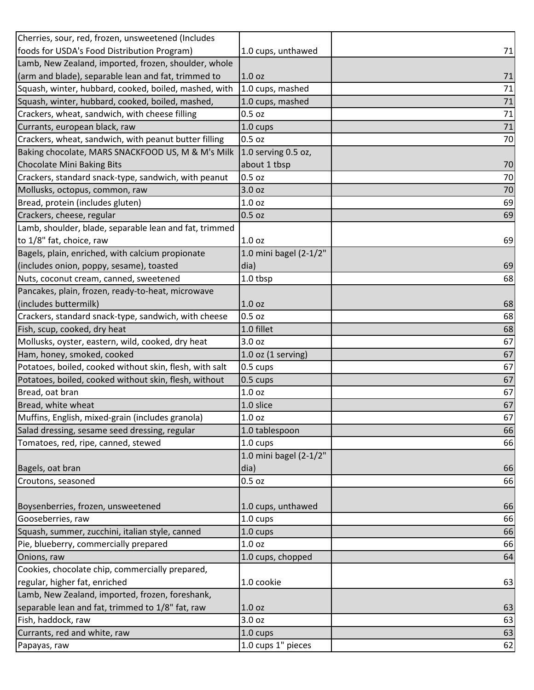| Cherries, sour, red, frozen, unsweetened (Includes      |                        |    |
|---------------------------------------------------------|------------------------|----|
| foods for USDA's Food Distribution Program)             | 1.0 cups, unthawed     | 71 |
| Lamb, New Zealand, imported, frozen, shoulder, whole    |                        |    |
| (arm and blade), separable lean and fat, trimmed to     | 1.0 <sub>oz</sub>      | 71 |
| Squash, winter, hubbard, cooked, boiled, mashed, with   | 1.0 cups, mashed       | 71 |
| Squash, winter, hubbard, cooked, boiled, mashed,        | 1.0 cups, mashed       | 71 |
| Crackers, wheat, sandwich, with cheese filling          | $0.5$ oz               | 71 |
| Currants, european black, raw                           | 1.0 cups               | 71 |
| Crackers, wheat, sandwich, with peanut butter filling   | $0.5$ oz               | 70 |
| Baking chocolate, MARS SNACKFOOD US, M & M's Milk       | 1.0 serving 0.5 oz,    |    |
| <b>Chocolate Mini Baking Bits</b>                       | about 1 tbsp           | 70 |
| Crackers, standard snack-type, sandwich, with peanut    | 0.5 oz                 | 70 |
| Mollusks, octopus, common, raw                          | 3.0 oz                 | 70 |
| Bread, protein (includes gluten)                        | 1.0 <sub>oz</sub>      | 69 |
| Crackers, cheese, regular                               | $0.5$ oz               | 69 |
| Lamb, shoulder, blade, separable lean and fat, trimmed  |                        |    |
| to 1/8" fat, choice, raw                                | 1.0 <sub>oz</sub>      | 69 |
| Bagels, plain, enriched, with calcium propionate        | 1.0 mini bagel (2-1/2" |    |
| (includes onion, poppy, sesame), toasted                | dia)                   | 69 |
| Nuts, coconut cream, canned, sweetened                  | 1.0 tbsp               | 68 |
| Pancakes, plain, frozen, ready-to-heat, microwave       |                        |    |
| (includes buttermilk)                                   | 1.0 <sub>oz</sub>      | 68 |
| Crackers, standard snack-type, sandwich, with cheese    | 0.5 oz                 | 68 |
| Fish, scup, cooked, dry heat                            | 1.0 fillet             | 68 |
| Mollusks, oyster, eastern, wild, cooked, dry heat       | 3.0 oz                 | 67 |
| Ham, honey, smoked, cooked                              | $1.0$ oz (1 serving)   | 67 |
| Potatoes, boiled, cooked without skin, flesh, with salt | 0.5 cups               | 67 |
| Potatoes, boiled, cooked without skin, flesh, without   | 0.5 cups               | 67 |
| Bread, oat bran                                         | 1.0 <sub>oz</sub>      | 67 |
| Bread, white wheat                                      | 1.0 slice              | 67 |
| Muffins, English, mixed-grain (includes granola)        | 1.0 <sub>oz</sub>      | 67 |
| Salad dressing, sesame seed dressing, regular           | 1.0 tablespoon         | 66 |
| Tomatoes, red, ripe, canned, stewed                     | 1.0 cups               | 66 |
|                                                         | 1.0 mini bagel (2-1/2" |    |
| Bagels, oat bran                                        | dia)                   | 66 |
| Croutons, seasoned                                      | 0.5 oz                 | 66 |
|                                                         |                        |    |
| Boysenberries, frozen, unsweetened                      | 1.0 cups, unthawed     | 66 |
| Gooseberries, raw                                       | 1.0 cups               | 66 |
| Squash, summer, zucchini, italian style, canned         | 1.0 cups               | 66 |
| Pie, blueberry, commercially prepared                   | 1.0 <sub>oz</sub>      | 66 |
| Onions, raw                                             | 1.0 cups, chopped      | 64 |
| Cookies, chocolate chip, commercially prepared,         |                        |    |
| regular, higher fat, enriched                           | 1.0 cookie             | 63 |
| Lamb, New Zealand, imported, frozen, foreshank,         |                        |    |
| separable lean and fat, trimmed to 1/8" fat, raw        | 1.0 oz                 | 63 |
| Fish, haddock, raw                                      | 3.0 oz                 | 63 |
| Currants, red and white, raw                            | 1.0 cups               | 63 |
| Papayas, raw                                            | 1.0 cups 1" pieces     | 62 |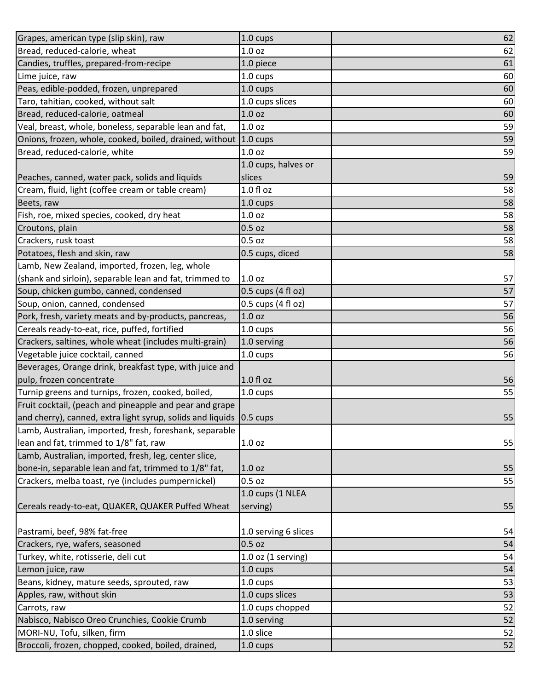| Grapes, american type (slip skin), raw                              | 1.0 cups               | 62 |
|---------------------------------------------------------------------|------------------------|----|
| Bread, reduced-calorie, wheat                                       | 1.0 <sub>oz</sub>      | 62 |
| Candies, truffles, prepared-from-recipe                             | 1.0 piece              | 61 |
| Lime juice, raw                                                     | 1.0 cups               | 60 |
| Peas, edible-podded, frozen, unprepared                             | 1.0 cups               | 60 |
| Taro, tahitian, cooked, without salt                                | 1.0 cups slices        | 60 |
| Bread, reduced-calorie, oatmeal                                     | 1.0 oz                 | 60 |
| Veal, breast, whole, boneless, separable lean and fat,              | 1.0 <sub>oz</sub>      | 59 |
| Onions, frozen, whole, cooked, boiled, drained, without             | $1.0 \text{ cups}$     | 59 |
| Bread, reduced-calorie, white                                       | 1.0 <sub>oz</sub>      | 59 |
|                                                                     | 1.0 cups, halves or    |    |
| Peaches, canned, water pack, solids and liquids                     | slices                 | 59 |
| Cream, fluid, light (coffee cream or table cream)                   | $1.0 f$ l oz           | 58 |
| Beets, raw                                                          | 1.0 cups               | 58 |
| Fish, roe, mixed species, cooked, dry heat                          | 1.0 <sub>oz</sub>      | 58 |
| Croutons, plain                                                     | $0.5$ oz               | 58 |
| Crackers, rusk toast                                                | 0.5 oz                 | 58 |
| Potatoes, flesh and skin, raw                                       | 0.5 cups, diced        | 58 |
| Lamb, New Zealand, imported, frozen, leg, whole                     |                        |    |
| (shank and sirloin), separable lean and fat, trimmed to             | 1.0 <sub>oz</sub>      | 57 |
| Soup, chicken gumbo, canned, condensed                              | 0.5 cups (4 fl oz)     | 57 |
| Soup, onion, canned, condensed                                      | 0.5 cups (4 fl oz)     | 57 |
| Pork, fresh, variety meats and by-products, pancreas,               | 1.0 oz                 | 56 |
| Cereals ready-to-eat, rice, puffed, fortified                       | 1.0 cups               | 56 |
| Crackers, saltines, whole wheat (includes multi-grain)              | 1.0 serving            | 56 |
| Vegetable juice cocktail, canned                                    | 1.0 cups               | 56 |
| Beverages, Orange drink, breakfast type, with juice and             |                        |    |
| pulp, frozen concentrate                                            | 1.0 fl oz              | 56 |
| Turnip greens and turnips, frozen, cooked, boiled,                  | 1.0 cups               | 55 |
| Fruit cocktail, (peach and pineapple and pear and grape             |                        |    |
| and cherry), canned, extra light syrup, solids and liquids 0.5 cups |                        | 55 |
| Lamb, Australian, imported, fresh, foreshank, separable             |                        |    |
| lean and fat, trimmed to 1/8" fat, raw                              | 1.0 <sub>oz</sub>      | 55 |
| Lamb, Australian, imported, fresh, leg, center slice,               |                        |    |
| bone-in, separable lean and fat, trimmed to 1/8" fat,               | 1.0 <sub>oz</sub>      | 55 |
| Crackers, melba toast, rye (includes pumpernickel)                  | 0.5 oz                 | 55 |
|                                                                     | 1.0 cups (1 NLEA       |    |
| Cereals ready-to-eat, QUAKER, QUAKER Puffed Wheat                   | serving)               | 55 |
|                                                                     |                        |    |
| Pastrami, beef, 98% fat-free                                        | 1.0 serving 6 slices   | 54 |
| Crackers, rye, wafers, seasoned                                     | $0.5$ oz               | 54 |
| Turkey, white, rotisserie, deli cut                                 | $1.0$ oz $(1$ serving) | 54 |
| Lemon juice, raw                                                    | 1.0 cups               | 54 |
| Beans, kidney, mature seeds, sprouted, raw                          | 1.0 cups               | 53 |
| Apples, raw, without skin                                           | 1.0 cups slices        | 53 |
| Carrots, raw                                                        | 1.0 cups chopped       | 52 |
| Nabisco, Nabisco Oreo Crunchies, Cookie Crumb                       | 1.0 serving            | 52 |
| MORI-NU, Tofu, silken, firm                                         | 1.0 slice              | 52 |
| Broccoli, frozen, chopped, cooked, boiled, drained,                 | 1.0 cups               | 52 |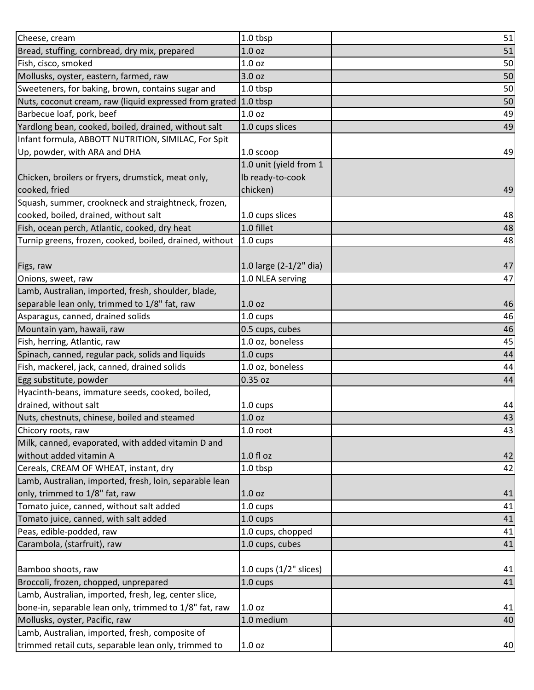| Cheese, cream                                           | 1.0 tbsp                 | 51 |
|---------------------------------------------------------|--------------------------|----|
| Bread, stuffing, cornbread, dry mix, prepared           | 1.0 <sub>oz</sub>        | 51 |
| Fish, cisco, smoked                                     | 1.0 <sub>oz</sub>        | 50 |
| Mollusks, oyster, eastern, farmed, raw                  | 3.0 oz                   | 50 |
| Sweeteners, for baking, brown, contains sugar and       | 1.0 tbsp                 | 50 |
| Nuts, coconut cream, raw (liquid expressed from grated  | 1.0 tbsp                 | 50 |
| Barbecue loaf, pork, beef                               | 1.0 <sub>oz</sub>        | 49 |
| Yardlong bean, cooked, boiled, drained, without salt    | 1.0 cups slices          | 49 |
| Infant formula, ABBOTT NUTRITION, SIMILAC, For Spit     |                          |    |
| Up, powder, with ARA and DHA                            | 1.0 scoop                | 49 |
|                                                         | 1.0 unit (yield from 1   |    |
| Chicken, broilers or fryers, drumstick, meat only,      | Ib ready-to-cook         |    |
| cooked, fried                                           | chicken)                 | 49 |
| Squash, summer, crookneck and straightneck, frozen,     |                          |    |
| cooked, boiled, drained, without salt                   | 1.0 cups slices          | 48 |
| Fish, ocean perch, Atlantic, cooked, dry heat           | 1.0 fillet               | 48 |
| Turnip greens, frozen, cooked, boiled, drained, without | $1.0 \text{ cups}$       | 48 |
|                                                         |                          |    |
| Figs, raw                                               | 1.0 large (2-1/2" dia)   | 47 |
| Onions, sweet, raw                                      | 1.0 NLEA serving         | 47 |
| Lamb, Australian, imported, fresh, shoulder, blade,     |                          |    |
| separable lean only, trimmed to 1/8" fat, raw           | 1.0 <sub>oz</sub>        | 46 |
| Asparagus, canned, drained solids                       |                          | 46 |
|                                                         | 1.0 cups                 |    |
| Mountain yam, hawaii, raw                               | 0.5 cups, cubes          | 46 |
| Fish, herring, Atlantic, raw                            | 1.0 oz, boneless         | 45 |
| Spinach, canned, regular pack, solids and liquids       | 1.0 cups                 | 44 |
| Fish, mackerel, jack, canned, drained solids            | 1.0 oz, boneless         | 44 |
| Egg substitute, powder                                  | 0.35 oz                  | 44 |
| Hyacinth-beans, immature seeds, cooked, boiled,         |                          |    |
| drained, without salt                                   | 1.0 cups                 | 44 |
| Nuts, chestnuts, chinese, boiled and steamed            | 1.0 oz                   | 43 |
| Chicory roots, raw                                      | $1.0$ root               | 43 |
| Milk, canned, evaporated, with added vitamin D and      |                          |    |
| without added vitamin A                                 | 1.0 fl oz                | 42 |
| Cereals, CREAM OF WHEAT, instant, dry                   | 1.0 tbsp                 | 42 |
| Lamb, Australian, imported, fresh, loin, separable lean |                          |    |
| only, trimmed to 1/8" fat, raw                          | 1.0 <sub>oz</sub>        | 41 |
| Tomato juice, canned, without salt added                | 1.0 cups                 | 41 |
| Tomato juice, canned, with salt added                   | 1.0 cups                 | 41 |
| Peas, edible-podded, raw                                | 1.0 cups, chopped        | 41 |
| Carambola, (starfruit), raw                             | 1.0 cups, cubes          | 41 |
|                                                         |                          |    |
| Bamboo shoots, raw                                      | 1.0 cups $(1/2"$ slices) | 41 |
| Broccoli, frozen, chopped, unprepared                   | 1.0 cups                 | 41 |
| Lamb, Australian, imported, fresh, leg, center slice,   |                          |    |
| bone-in, separable lean only, trimmed to 1/8" fat, raw  | 1.0 <sub>oz</sub>        | 41 |
| Mollusks, oyster, Pacific, raw                          | 1.0 medium               | 40 |
| Lamb, Australian, imported, fresh, composite of         |                          |    |
| trimmed retail cuts, separable lean only, trimmed to    | 1.0 <sub>oz</sub>        | 40 |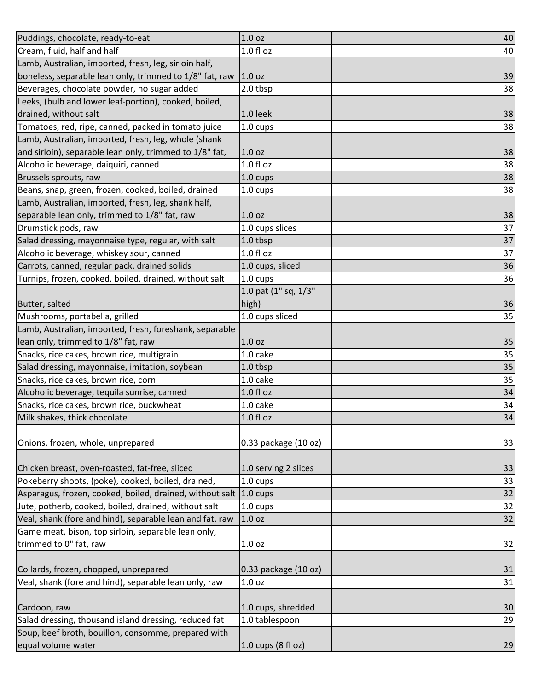| Puddings, chocolate, ready-to-eat                                 | 1.0 oz               | 40 |
|-------------------------------------------------------------------|----------------------|----|
| Cream, fluid, half and half                                       | 1.0 f1 oz            | 40 |
| Lamb, Australian, imported, fresh, leg, sirloin half,             |                      |    |
| boneless, separable lean only, trimmed to 1/8" fat, raw           | 1.0 oz               | 39 |
| Beverages, chocolate powder, no sugar added                       | 2.0 tbsp             | 38 |
| Leeks, (bulb and lower leaf-portion), cooked, boiled,             |                      |    |
| drained, without salt                                             | $1.0$ leek           | 38 |
| Tomatoes, red, ripe, canned, packed in tomato juice               | 1.0 cups             | 38 |
| Lamb, Australian, imported, fresh, leg, whole (shank              |                      |    |
| and sirloin), separable lean only, trimmed to 1/8" fat,           | 1.0 <sub>oz</sub>    | 38 |
| Alcoholic beverage, daiquiri, canned                              | 1.0 fl oz            | 38 |
| Brussels sprouts, raw                                             | 1.0 cups             | 38 |
| Beans, snap, green, frozen, cooked, boiled, drained               | 1.0 cups             | 38 |
| Lamb, Australian, imported, fresh, leg, shank half,               |                      |    |
| separable lean only, trimmed to 1/8" fat, raw                     | 1.0 <sub>oz</sub>    | 38 |
| Drumstick pods, raw                                               | 1.0 cups slices      | 37 |
| Salad dressing, mayonnaise type, regular, with salt               | 1.0 tbsp             | 37 |
| Alcoholic beverage, whiskey sour, canned                          | $1.0 f$ l oz         | 37 |
| Carrots, canned, regular pack, drained solids                     | 1.0 cups, sliced     | 36 |
| Turnips, frozen, cooked, boiled, drained, without salt            | 1.0 cups             | 36 |
|                                                                   | 1.0 pat (1" sq, 1/3" |    |
| Butter, salted                                                    | high)                | 36 |
| Mushrooms, portabella, grilled                                    | 1.0 cups sliced      | 35 |
| Lamb, Australian, imported, fresh, foreshank, separable           |                      |    |
| lean only, trimmed to 1/8" fat, raw                               | 1.0 <sub>oz</sub>    | 35 |
| Snacks, rice cakes, brown rice, multigrain                        | 1.0 cake             | 35 |
| Salad dressing, mayonnaise, imitation, soybean                    | 1.0 tbsp             | 35 |
| Snacks, rice cakes, brown rice, corn                              | 1.0 cake             | 35 |
| Alcoholic beverage, tequila sunrise, canned                       | $1.0 f$ l oz         | 34 |
| Snacks, rice cakes, brown rice, buckwheat                         | 1.0 cake             | 34 |
| Milk shakes, thick chocolate                                      | 1.0 fl oz            | 34 |
| Onions, frozen, whole, unprepared                                 | 0.33 package (10 oz) | 33 |
| Chicken breast, oven-roasted, fat-free, sliced                    | 1.0 serving 2 slices | 33 |
| Pokeberry shoots, (poke), cooked, boiled, drained,                | 1.0 cups             | 33 |
| Asparagus, frozen, cooked, boiled, drained, without salt 1.0 cups |                      | 32 |
| Jute, potherb, cooked, boiled, drained, without salt              | 1.0 cups             | 32 |
| Veal, shank (fore and hind), separable lean and fat, raw          | 1.0 <sub>oz</sub>    | 32 |
| Game meat, bison, top sirloin, separable lean only,               |                      |    |
| trimmed to 0" fat, raw                                            | 1.0 <sub>oz</sub>    | 32 |
|                                                                   |                      |    |
| Collards, frozen, chopped, unprepared                             | 0.33 package (10 oz) | 31 |
| Veal, shank (fore and hind), separable lean only, raw             | 1.0 <sub>oz</sub>    | 31 |
|                                                                   |                      |    |
| Cardoon, raw                                                      | 1.0 cups, shredded   | 30 |
| Salad dressing, thousand island dressing, reduced fat             | 1.0 tablespoon       | 29 |
| Soup, beef broth, bouillon, consomme, prepared with               |                      |    |
| equal volume water                                                | 1.0 cups (8 fl oz)   | 29 |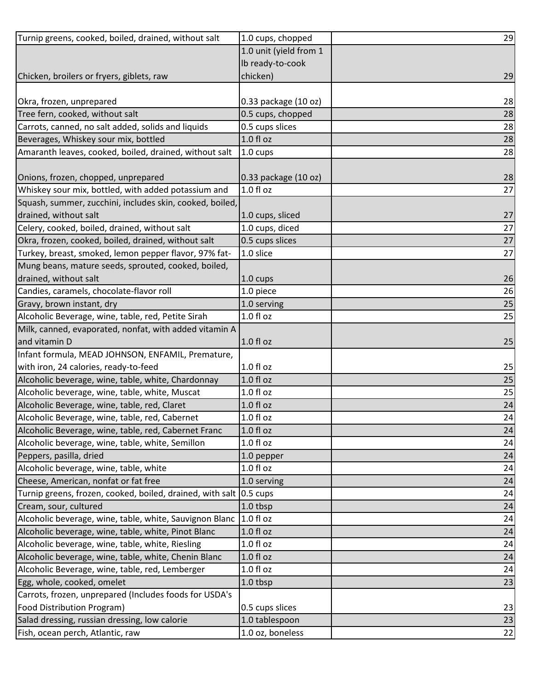| Turnip greens, cooked, boiled, drained, without salt               | 1.0 cups, chopped      | 29 |
|--------------------------------------------------------------------|------------------------|----|
|                                                                    | 1.0 unit (yield from 1 |    |
|                                                                    | Ib ready-to-cook       |    |
| Chicken, broilers or fryers, giblets, raw                          | chicken)               | 29 |
|                                                                    |                        |    |
| Okra, frozen, unprepared                                           | 0.33 package (10 oz)   | 28 |
| Tree fern, cooked, without salt                                    | 0.5 cups, chopped      | 28 |
| Carrots, canned, no salt added, solids and liquids                 | 0.5 cups slices        | 28 |
| Beverages, Whiskey sour mix, bottled                               | 1.0 fl oz              | 28 |
| Amaranth leaves, cooked, boiled, drained, without salt             | 1.0 cups               | 28 |
|                                                                    |                        |    |
| Onions, frozen, chopped, unprepared                                | 0.33 package (10 oz)   | 28 |
| Whiskey sour mix, bottled, with added potassium and                | $1.0 f$ l oz           | 27 |
| Squash, summer, zucchini, includes skin, cooked, boiled,           |                        |    |
| drained, without salt                                              | 1.0 cups, sliced       | 27 |
| Celery, cooked, boiled, drained, without salt                      | 1.0 cups, diced        | 27 |
| Okra, frozen, cooked, boiled, drained, without salt                | 0.5 cups slices        | 27 |
| Turkey, breast, smoked, lemon pepper flavor, 97% fat-              | 1.0 slice              | 27 |
| Mung beans, mature seeds, sprouted, cooked, boiled,                |                        |    |
| drained, without salt                                              | 1.0 cups               | 26 |
| Candies, caramels, chocolate-flavor roll                           | 1.0 piece              | 26 |
| Gravy, brown instant, dry                                          | 1.0 serving            | 25 |
| Alcoholic Beverage, wine, table, red, Petite Sirah                 | 1.0 fl oz              | 25 |
| Milk, canned, evaporated, nonfat, with added vitamin A             |                        |    |
| and vitamin D                                                      | 1.0 fl oz              | 25 |
| Infant formula, MEAD JOHNSON, ENFAMIL, Premature,                  |                        |    |
| with iron, 24 calories, ready-to-feed                              | 1.0 fl oz              | 25 |
| Alcoholic beverage, wine, table, white, Chardonnay                 | 1.0 fl oz              | 25 |
| Alcoholic beverage, wine, table, white, Muscat                     | $1.0 f$ l oz           | 25 |
| Alcoholic Beverage, wine, table, red, Claret                       | $1.0 f$ l oz           | 24 |
| Alcoholic Beverage, wine, table, red, Cabernet                     | 1.0 fl oz              | 24 |
| Alcoholic Beverage, wine, table, red, Cabernet Franc               | $1.0 f$ l oz           | 24 |
| Alcoholic beverage, wine, table, white, Semillon                   | 1.0 f1 oz              | 24 |
| Peppers, pasilla, dried                                            | 1.0 pepper             | 24 |
| Alcoholic beverage, wine, table, white                             | 1.0 fl oz              | 24 |
| Cheese, American, nonfat or fat free                               | 1.0 serving            | 24 |
| Turnip greens, frozen, cooked, boiled, drained, with salt 0.5 cups |                        | 24 |
| Cream, sour, cultured                                              | 1.0 tbsp               | 24 |
| Alcoholic beverage, wine, table, white, Sauvignon Blanc            | $1.0 f$ l oz           | 24 |
| Alcoholic beverage, wine, table, white, Pinot Blanc                | $1.0 f$ l oz           | 24 |
| Alcoholic beverage, wine, table, white, Riesling                   | $1.0 f$ l oz           | 24 |
| Alcoholic beverage, wine, table, white, Chenin Blanc               | 1.0 fl oz              | 24 |
| Alcoholic Beverage, wine, table, red, Lemberger                    | 1.0 fl oz              | 24 |
| Egg, whole, cooked, omelet                                         | 1.0 tbsp               | 23 |
| Carrots, frozen, unprepared (Includes foods for USDA's             |                        |    |
| Food Distribution Program)                                         | 0.5 cups slices        | 23 |
| Salad dressing, russian dressing, low calorie                      | 1.0 tablespoon         | 23 |
| Fish, ocean perch, Atlantic, raw                                   | 1.0 oz, boneless       | 22 |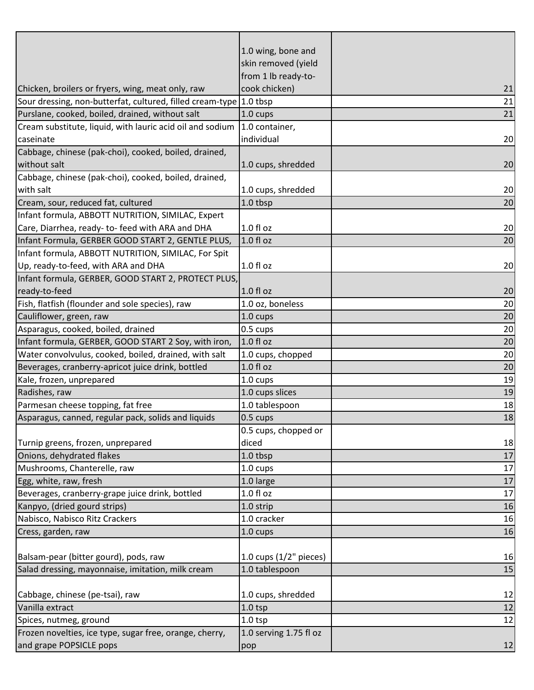|                                                                    | 1.0 wing, bone and       |    |
|--------------------------------------------------------------------|--------------------------|----|
|                                                                    | skin removed (yield      |    |
|                                                                    | from 1 lb ready-to-      |    |
| Chicken, broilers or fryers, wing, meat only, raw                  | cook chicken)            | 21 |
| Sour dressing, non-butterfat, cultured, filled cream-type 1.0 tbsp |                          | 21 |
| Purslane, cooked, boiled, drained, without salt                    | 1.0 cups                 | 21 |
| Cream substitute, liquid, with lauric acid oil and sodium          | 1.0 container,           |    |
| caseinate                                                          | individual               | 20 |
| Cabbage, chinese (pak-choi), cooked, boiled, drained,              |                          |    |
| without salt                                                       | 1.0 cups, shredded       | 20 |
| Cabbage, chinese (pak-choi), cooked, boiled, drained,              |                          |    |
| with salt                                                          | 1.0 cups, shredded       | 20 |
| Cream, sour, reduced fat, cultured                                 | 1.0 tbsp                 | 20 |
| Infant formula, ABBOTT NUTRITION, SIMILAC, Expert                  |                          |    |
| Care, Diarrhea, ready- to- feed with ARA and DHA                   | $1.0 f$ l oz             | 20 |
| Infant Formula, GERBER GOOD START 2, GENTLE PLUS,                  | 1.0 fl oz                | 20 |
| Infant formula, ABBOTT NUTRITION, SIMILAC, For Spit                |                          |    |
| Up, ready-to-feed, with ARA and DHA                                | 1.0 fl oz                | 20 |
| Infant formula, GERBER, GOOD START 2, PROTECT PLUS,                |                          |    |
| ready-to-feed                                                      | $1.0 f$ l oz             | 20 |
| Fish, flatfish (flounder and sole species), raw                    | 1.0 oz, boneless         | 20 |
| Cauliflower, green, raw                                            | 1.0 cups                 | 20 |
| Asparagus, cooked, boiled, drained                                 | 0.5 cups                 | 20 |
| Infant formula, GERBER, GOOD START 2 Soy, with iron,               | $1.0 f$ l oz             | 20 |
| Water convolvulus, cooked, boiled, drained, with salt              | 1.0 cups, chopped        | 20 |
| Beverages, cranberry-apricot juice drink, bottled                  | 1.0 fl oz                | 20 |
| Kale, frozen, unprepared                                           | $1.0 \text{ cups}$       | 19 |
| Radishes, raw                                                      | 1.0 cups slices          | 19 |
| Parmesan cheese topping, fat free                                  | 1.0 tablespoon           | 18 |
| Asparagus, canned, regular pack, solids and liquids                | 0.5 cups                 | 18 |
|                                                                    | 0.5 cups, chopped or     |    |
| Turnip greens, frozen, unprepared                                  | diced                    | 18 |
| Onions, dehydrated flakes                                          | 1.0 tbsp                 | 17 |
| Mushrooms, Chanterelle, raw                                        | 1.0 cups                 | 17 |
| Egg, white, raw, fresh                                             | 1.0 large                | 17 |
| Beverages, cranberry-grape juice drink, bottled                    | 1.0 fl oz                | 17 |
| Kanpyo, (dried gourd strips)                                       | 1.0 strip                | 16 |
| Nabisco, Nabisco Ritz Crackers                                     | 1.0 cracker              | 16 |
| Cress, garden, raw                                                 | 1.0 cups                 | 16 |
|                                                                    |                          |    |
| Balsam-pear (bitter gourd), pods, raw                              | 1.0 cups $(1/2"$ pieces) | 16 |
| Salad dressing, mayonnaise, imitation, milk cream                  | 1.0 tablespoon           | 15 |
|                                                                    |                          |    |
| Cabbage, chinese (pe-tsai), raw                                    | 1.0 cups, shredded       | 12 |
| Vanilla extract                                                    | $1.0$ tsp                | 12 |
| Spices, nutmeg, ground                                             | $1.0$ tsp                | 12 |
| Frozen novelties, ice type, sugar free, orange, cherry,            | 1.0 serving 1.75 fl oz   |    |
| and grape POPSICLE pops                                            | pop                      | 12 |
|                                                                    |                          |    |